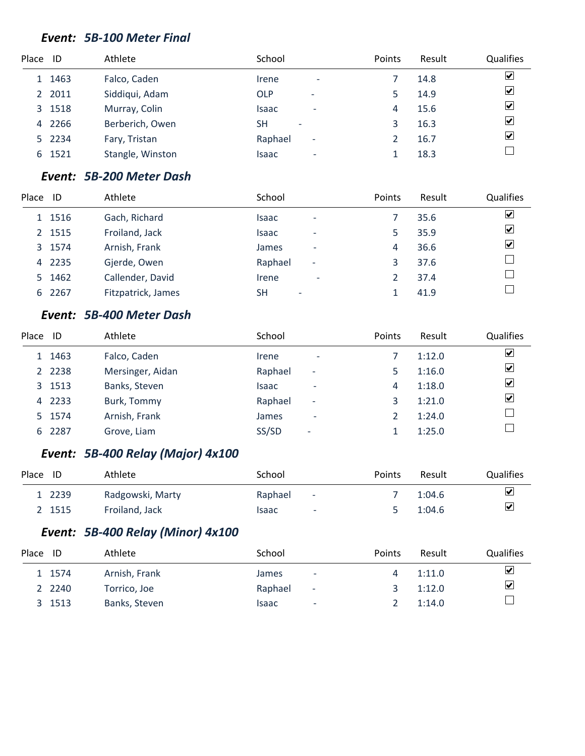#### *Event: 5B-100 Meter Final*

| Place ID |        | Athlete          | School                                |                          | Points | Result | Qualifies                    |
|----------|--------|------------------|---------------------------------------|--------------------------|--------|--------|------------------------------|
|          | 1 1463 | Falco, Caden     | Irene                                 | $\overline{\phantom{a}}$ |        | 14.8   | $\overline{\mathbf{v}}$      |
|          | 2 2011 | Siddiqui, Adam   | <b>OLP</b>                            | ٠                        |        | 14.9   | $\boxed{\blacktriangledown}$ |
|          | 3 1518 | Murray, Colin    | Isaac                                 | $\overline{\phantom{a}}$ | 4      | 15.6   | $\blacktriangledown$         |
|          | 4 2266 | Berberich, Owen  | <b>SH</b><br>$\overline{\phantom{a}}$ |                          | 3      | 16.3   | $\overline{\mathbf{v}}$      |
|          | 5 2234 | Fary, Tristan    | Raphael                               | $\overline{\phantom{a}}$ |        | 16.7   | $\overline{\mathbf{v}}$      |
| 6        | 1521   | Stangle, Winston | Isaac                                 | -                        |        | 18.3   |                              |
|          |        |                  |                                       |                          |        |        |                              |

# *Event: 5B-200 Meter Dash*

| Place | ID     | Athlete            | School                                | Points | Result | <b>Qualifies</b> |
|-------|--------|--------------------|---------------------------------------|--------|--------|------------------|
|       | 1 1516 | Gach, Richard      | Isaac<br>$\overline{\phantom{a}}$     |        | 35.6   | ⊻                |
|       | 2 1515 | Froiland, Jack     | Isaac<br>-                            |        | 35.9   | ☑                |
|       | 3 1574 | Arnish, Frank      | James<br>٠                            | 4      | 36.6   | ☑                |
|       | 4 2235 | Gjerde, Owen       | Raphael<br>$\overline{\phantom{a}}$   | 3      | 37.6   |                  |
|       | 5 1462 | Callender, David   | Irene<br>$\overline{\phantom{a}}$     |        | 37.4   |                  |
|       | 6 2267 | Fitzpatrick, James | <b>SH</b><br>$\overline{\phantom{a}}$ |        | 41.9   |                  |

# *Event: 5B-400 Meter Dash*

| Place ID |           | Athlete          | School                              | Points | Result | Qualifies               |
|----------|-----------|------------------|-------------------------------------|--------|--------|-------------------------|
|          | 1 1463    | Falco, Caden     | Irene<br>$\overline{\phantom{a}}$   |        | 1:12.0 | $\blacktriangledown$    |
|          | 2 2 2 3 8 | Mersinger, Aidan | Raphael<br>$\overline{\phantom{a}}$ |        | 1:16.0 | $\overline{\mathbf{v}}$ |
|          | 3 1513    | Banks, Steven    | Isaac<br>$\overline{\phantom{a}}$   | 4      | 1:18.0 | $\blacktriangledown$    |
| 4        | 2233      | Burk, Tommy      | Raphael<br>$\overline{\phantom{a}}$ | 3      | 1:21.0 | $\blacktriangledown$    |
|          | 5 1574    | Arnish, Frank    | James<br>-                          |        | 1:24.0 |                         |
|          | 6 2287    | Grove, Liam      | SS/SD<br>$\overline{\phantom{a}}$   |        | 1:25.0 |                         |
|          |           |                  |                                     |        |        |                         |

# *Event: 5B-400 Relay (Major) 4x100*

| Place ID |        | Athlete          | School                            | Points | Result | <b>Qualifies</b>               |
|----------|--------|------------------|-----------------------------------|--------|--------|--------------------------------|
|          | 1 2239 | Radgowski, Marty | Raphael<br>$\sim$ $-$             |        | 1:04.6 | $\vert\blacktriangledown\vert$ |
|          | 2 1515 | Froiland, Jack   | Isaac<br>$\overline{\phantom{a}}$ |        | 1:04.6 | $\overline{\mathbf{v}}$        |

## *Event: 5B-400 Relay (Minor) 4x100*

| Place | ID        | Athlete       | School  |                          | <b>Points</b> | Result | <b>Qualifies</b> |
|-------|-----------|---------------|---------|--------------------------|---------------|--------|------------------|
|       | 1 1574    | Arnish, Frank | James   | $\overline{\phantom{a}}$ |               | 1:11.0 | ⊻                |
|       | 2 2 2 4 0 | Torrico, Joe  | Raphael | $\sim$                   |               | 1:12.0 | ☑                |
|       | 3 1513    | Banks, Steven | Isaac   | ٠                        |               | 1:14.0 |                  |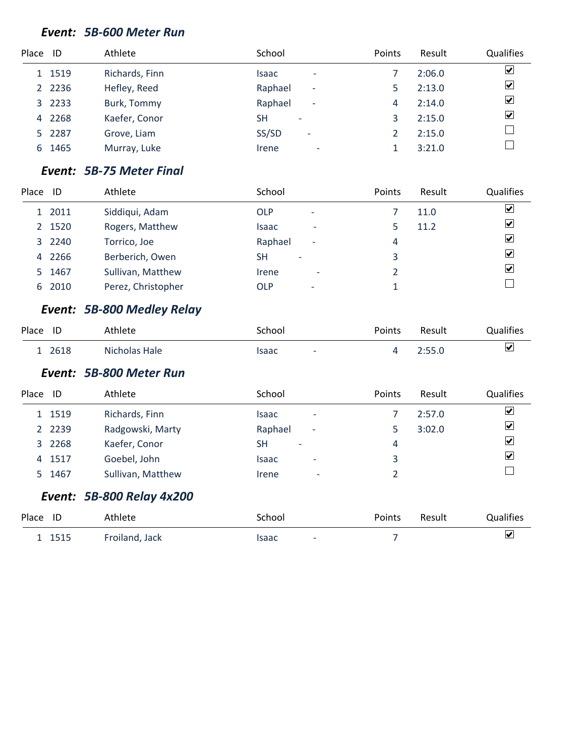#### *Event: 5B-600 Meter Run*

| Place ID |           | Athlete        | School                                | Points | Result | Qualifies                    |
|----------|-----------|----------------|---------------------------------------|--------|--------|------------------------------|
|          | 1 1519    | Richards, Finn | Isaac<br>$\overline{\phantom{0}}$     |        | 2:06.0 | $\boxed{\blacktriangledown}$ |
|          | 2 2 2 3 6 | Hefley, Reed   | Raphael<br>$\overline{\phantom{a}}$   |        | 2:13.0 | $\overline{\mathbf{v}}$      |
|          | 3 2233    | Burk, Tommy    | Raphael<br>$\overline{\phantom{a}}$   | 4      | 2:14.0 | $\overline{\mathbf{v}}$      |
| 4        | 2268      | Kaefer, Conor  | <b>SH</b><br>$\overline{\phantom{0}}$ |        | 2:15.0 | $\overline{\mathbf{v}}$      |
|          | 5 2287    | Grove, Liam    | SS/SD<br>۰                            |        | 2:15.0 |                              |
| 6        | 1465      | Murray, Luke   | Irene<br>-                            |        | 3:21.0 |                              |

#### *Event: 5B-75 Meter Final*

| Place | ID     | Athlete            | School                                |                          | Points | Result | <b>Qualifies</b>   |
|-------|--------|--------------------|---------------------------------------|--------------------------|--------|--------|--------------------|
|       | 1 2011 | Siddiqui, Adam     | <b>OLP</b>                            | $\overline{\phantom{a}}$ |        | 11.0   | ⊻                  |
|       | 2 1520 | Rogers, Matthew    | Isaac                                 | $\overline{\phantom{a}}$ |        | 11.2   | ⊻                  |
|       | 3 2240 | Torrico, Joe       | Raphael                               | $\overline{\phantom{a}}$ | 4      |        | $ \boldsymbol{v} $ |
|       | 4 2266 | Berberich, Owen    | <b>SH</b><br>$\overline{\phantom{a}}$ |                          | 3      |        | $ \boldsymbol{v} $ |
|       | 5 1467 | Sullivan, Matthew  | Irene                                 | $\overline{\phantom{a}}$ |        |        | $ \boldsymbol{v} $ |
|       | 6 2010 | Perez, Christopher | <b>OLP</b>                            | $\overline{\phantom{a}}$ |        |        |                    |

# *Event: 5B-800 Medley Relay*

| Place ID | thlete        | `chool                            | Points | Result | Qualifies               |
|----------|---------------|-----------------------------------|--------|--------|-------------------------|
| 2618     | Nicholas Hale | isaac<br>$\overline{\phantom{0}}$ |        | $-550$ | $\overline{\mathbf{v}}$ |

#### *Event: 5B-800 Meter Run*

| Place | ID        | Athlete           | School                                   | Points | Result | Qualifies                    |
|-------|-----------|-------------------|------------------------------------------|--------|--------|------------------------------|
|       | 1 1519    | Richards, Finn    | Isaac<br>$\overline{\phantom{0}}$        |        | 2:57.0 | $\blacktriangledown$         |
|       | 2 2 2 3 9 | Radgowski, Marty  | Raphael<br>$\overline{\phantom{a}}$      |        | 3:02.0 | $\boxed{\blacktriangledown}$ |
|       | 3 2268    | Kaefer, Conor     | <b>SH</b><br>-                           | 4      |        | $\boxed{\blacktriangledown}$ |
|       | 4 1517    | Goebel, John      | <b>Isaac</b><br>$\overline{\phantom{a}}$ | 3      |        | $\overline{\mathbf{v}}$      |
|       | 5 1467    | Sullivan, Matthew | Irene<br>٠                               |        |        |                              |

# *Event: 5B-800 Relay 4x200*

| Place ID | Athlete        | School     | Points | Result | <b>Qualifies</b> |
|----------|----------------|------------|--------|--------|------------------|
| 1515     | Froiland, Jack | Isaac<br>۰ |        |        | ⊻                |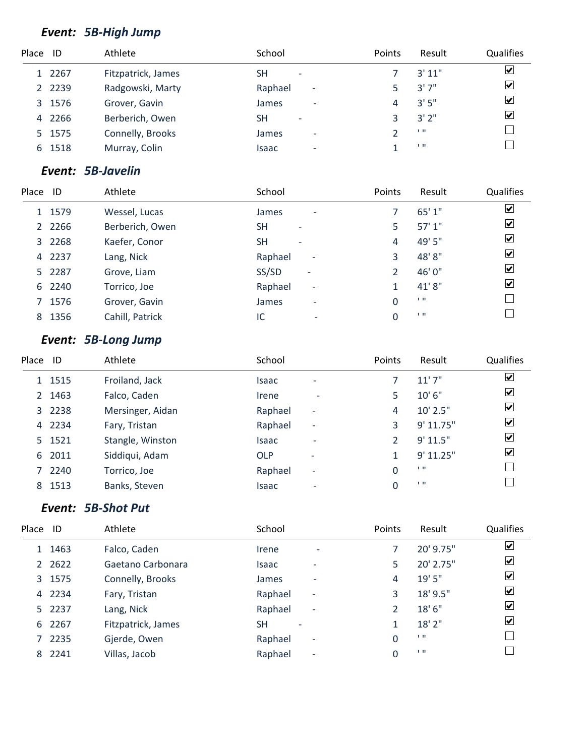# *Event: 5B-High Jump*

| Place ID |           | Athlete            | School                                   | Points | Result | Qualifies               |
|----------|-----------|--------------------|------------------------------------------|--------|--------|-------------------------|
|          | 1 2267    | Fitzpatrick, James | <b>SH</b><br>$\overline{\phantom{a}}$    |        | 3'11"  | $\overline{\mathbf{v}}$ |
|          | 2 2 2 3 9 | Radgowski, Marty   | Raphael<br>$\overline{\phantom{a}}$      |        | 3'7''  | $\overline{\mathbf{v}}$ |
|          | 3 1576    | Grover, Gavin      | James<br>$\overline{\phantom{a}}$        | 4      | 3'5''  | $\overline{\mathbf{v}}$ |
| 4        | 2266      | Berberich, Owen    | <b>SH</b><br>-                           |        | 3'2''  | $\overline{\mathbf{v}}$ |
|          | 5 1575    | Connelly, Brooks   | <b>James</b><br>$\overline{\phantom{0}}$ |        | 1.11   |                         |
| 6.       | 1518      | Murray, Colin      | Isaac<br>$\overline{\phantom{0}}$        |        | 1.11   |                         |

#### *Event: 5B-Javelin*

| Place | ID        | Athlete         | School                                | Points | Result | Qualifies               |
|-------|-----------|-----------------|---------------------------------------|--------|--------|-------------------------|
|       | 1 1579    | Wessel, Lucas   | James<br>٠                            |        | 65'1"  | ☑                       |
|       | 2 2 2 6 6 | Berberich, Owen | <b>SH</b><br>$\overline{\phantom{a}}$ | 5      | 57'1"  | ☑                       |
|       | 3 2268    | Kaefer, Conor   | <b>SH</b><br>$\overline{\phantom{a}}$ | 4      | 49' 5" | $\blacktriangledown$    |
|       | 4 2237    | Lang, Nick      | Raphael<br>$\overline{\phantom{a}}$   | 3      | 48'8"  | $\blacktriangledown$    |
|       | 5 2287    | Grove, Liam     | SS/SD<br>-                            |        | 46'0"  | $\blacktriangledown$    |
|       | 6 2240    | Torrico, Joe    | Raphael<br>$\overline{\phantom{a}}$   |        | 41'8"  | $\overline{\mathbf{v}}$ |
|       | 7 1576    | Grover, Gavin   | James<br>$\overline{\phantom{0}}$     | 0      | 1.11   |                         |
|       | 8 1356    | Cahill, Patrick | IC<br>$\overline{\phantom{0}}$        | 0      | 1.11   |                         |

# *Event: 5B-Long Jump*

| Place ID |        | Athlete          | School                                   |   | Points | Result     | Qualifies                    |
|----------|--------|------------------|------------------------------------------|---|--------|------------|------------------------------|
|          | 1 1515 | Froiland, Jack   | <b>Isaac</b><br>$\overline{\phantom{0}}$ |   |        | 11'7''     | $\overline{\mathbf{v}}$      |
|          | 2 1463 | Falco, Caden     | Irene                                    | ٠ | 5      | 10'6''     | $\blacktriangledown$         |
|          | 3 2238 | Mersinger, Aidan | Raphael<br>$\overline{\phantom{0}}$      |   | 4      | $10'$ 2.5" | $\boxed{\blacktriangledown}$ |
|          | 4 2234 | Fary, Tristan    | Raphael<br>$\overline{\phantom{a}}$      |   | 3      | 9' 11.75"  | $\blacktriangledown$         |
|          | 5 1521 | Stangle, Winston | <b>Isaac</b><br>$\overline{\phantom{a}}$ |   |        | 9' 11.5"   | $\blacktriangledown$         |
|          | 6 2011 | Siddiqui, Adam   | <b>OLP</b><br>$\overline{\phantom{a}}$   |   |        | 9' 11.25"  | ☑                            |
|          | 7 2240 | Torrico, Joe     | Raphael<br>$\overline{\phantom{a}}$      |   | 0      | 1.11       |                              |
|          | 8 1513 | Banks, Steven    | <b>Isaac</b>                             |   |        | 1.11       |                              |

# *Event: 5B-Shot Put*

| Place | ID        | Athlete            | School                     |                          | Points   | Result    | <b>Qualifies</b>            |
|-------|-----------|--------------------|----------------------------|--------------------------|----------|-----------|-----------------------------|
|       | 1 1463    | Falco, Caden       | <i><u><b>Irene</b></u></i> | $\overline{\phantom{a}}$ |          | 20' 9.75" | ⊻                           |
|       | 2 2 6 2 2 | Gaetano Carbonara  | Isaac                      | $\overline{\phantom{0}}$ | 5        | 20' 2.75" | $\vert\mathbf{v}\vert$      |
|       | 3 1575    | Connelly, Brooks   | James                      | $\overline{\phantom{a}}$ | 4        | 19' 5"    | ⊻                           |
|       | 4 2234    | Fary, Tristan      | Raphael                    | $\overline{\phantom{a}}$ | 3        | 18' 9.5"  | $\boxed{\checkmark}$        |
|       | 5 2237    | Lang, Nick         | Raphael                    | $\overline{\phantom{a}}$ |          | 18' 6"    | $\overline{\mathbf{v}}$     |
|       | 6 2267    | Fitzpatrick, James | <b>SH</b>                  |                          |          | 18' 2"    | $ \boldsymbol{\mathsf{v}} $ |
|       | 7 2235    | Gjerde, Owen       | Raphael                    | $\overline{\phantom{a}}$ | $\Omega$ | 1.11      |                             |
| 8     | 2241      | Villas, Jacob      | Raphael                    | $\overline{\phantom{a}}$ | $\Omega$ | 1.11      |                             |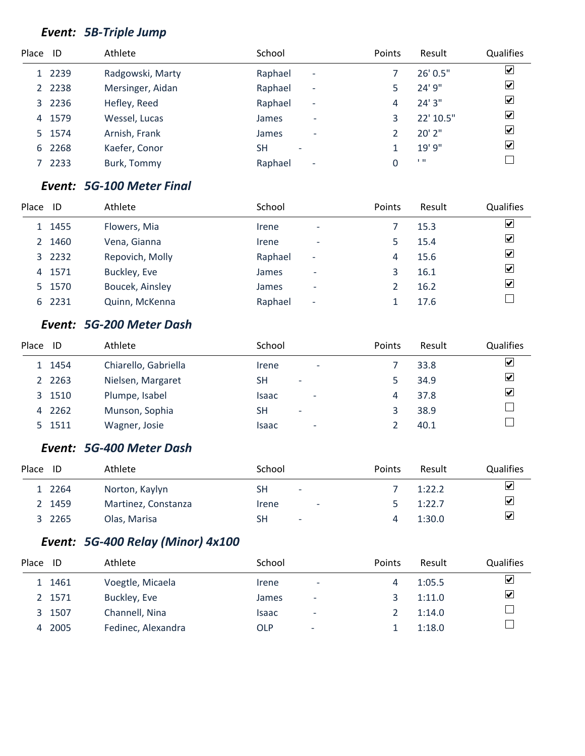# *Event: 5B-Triple Jump*

| Place ID |           | Athlete          | School                                   | Points | Result    | Qualifies               |
|----------|-----------|------------------|------------------------------------------|--------|-----------|-------------------------|
|          | 1 2239    | Radgowski, Marty | Raphael<br>$\overline{\phantom{a}}$      |        | 26' 0.5"  | $\boxed{\checkmark}$    |
|          | 2 2 2 3 8 | Mersinger, Aidan | Raphael<br>$\overline{\phantom{a}}$      |        | 24' 9"    | $\overline{\mathbf{v}}$ |
|          | 3 2236    | Hefley, Reed     | Raphael<br>$\overline{\phantom{a}}$      | 4      | 24'3''    | $\overline{\mathbf{v}}$ |
| 4        | 1579      | Wessel, Lucas    | James                                    |        | 22' 10.5" | $\overline{\mathbf{v}}$ |
|          | 5 1574    | Arnish, Frank    | <b>James</b><br>$\overline{\phantom{a}}$ |        | 20'2"     | $\overline{\mathbf{v}}$ |
| 6        | 2268      | Kaefer, Conor    | <b>SH</b>                                |        | 19' 9"    | $\overline{\mathbf{v}}$ |
|          | 2233      | Burk, Tommy      | Raphael<br>$\overline{\phantom{a}}$      |        | 1.11      |                         |

#### *Event: 5G-100 Meter Final*

| Place | ID     | Athlete         | School                              | Points | Result | Qualifies               |
|-------|--------|-----------------|-------------------------------------|--------|--------|-------------------------|
|       | 1 1455 | Flowers, Mia    | Irene<br>$\overline{\phantom{a}}$   |        | 15.3   | $\overline{\mathbf{v}}$ |
|       | 2 1460 | Vena, Gianna    | <i><u><b>Irene</b></u></i><br>-     | 5      | 15.4   | $\overline{\mathbf{v}}$ |
|       | 3 2232 | Repovich, Molly | Raphael<br>$\overline{\phantom{a}}$ | 4      | 15.6   | $\overline{\mathbf{v}}$ |
|       | 4 1571 | Buckley, Eve    | James<br>$\overline{\phantom{0}}$   |        | 16.1   | $\overline{\mathbf{v}}$ |
|       | 5 1570 | Boucek, Ainsley | James<br>$\overline{\phantom{0}}$   |        | 16.2   | $\overline{\mathbf{v}}$ |
|       | 6 2231 | Quinn, McKenna  | Raphael<br>$\overline{\phantom{a}}$ |        | 17.6   |                         |

### *Event: 5G-200 Meter Dash*

| Place ID |           | Athlete              | School                                | <b>Points</b> | Result | <b>Qualifies</b>        |
|----------|-----------|----------------------|---------------------------------------|---------------|--------|-------------------------|
|          | 1 1454    | Chiarello, Gabriella | Irene<br>$\overline{\phantom{a}}$     |               | 33.8   | $\overline{\mathbf{v}}$ |
|          | 2 2 2 6 3 | Nielsen, Margaret    | <b>SH</b><br>$\overline{\phantom{a}}$ |               | 34.9   | $\blacktriangledown$    |
|          | 3 1510    | Plumpe, Isabel       | Isaac<br>$\overline{\phantom{a}}$     | 4             | 37.8   | $\overline{\mathbf{v}}$ |
| 4        | 2262      | Munson, Sophia       | <b>SH</b><br>$\overline{\phantom{a}}$ |               | 38.9   |                         |
|          | 5 1511    | Wagner, Josie        | Isaac<br>٠                            |               | 40.1   |                         |

### *Event: 5G-400 Meter Dash*

| Place ID |        | Athlete             | School                            | <b>Points</b> | Result | <b>Qualifies</b> |
|----------|--------|---------------------|-----------------------------------|---------------|--------|------------------|
|          | 1 2264 | Norton, Kaylyn      | SH<br>$\overline{\phantom{a}}$    |               | 1:22.2 | ⊻                |
|          | 2 1459 | Martinez, Constanza | Irene<br>$\overline{\phantom{a}}$ |               | 1:22.7 | ⊻                |
|          | 3 2265 | Olas, Marisa        | SH<br>$\overline{\phantom{a}}$    |               | 1:30.0 | ⊻                |

# *Event: 5G-400 Relay (Minor) 4x100*

| Place ID |        | Athlete            | School |                          | Points | Result | <b>Qualifies</b> |
|----------|--------|--------------------|--------|--------------------------|--------|--------|------------------|
|          | 1 1461 | Voegtle, Micaela   | Irene  | $\overline{\phantom{a}}$ | 4      | 1:05.5 | ☑                |
|          | 2 1571 | Buckley, Eve       | James  | $\overline{\phantom{a}}$ |        | 1:11.0 | ☑                |
| 3        | 1507   | Channell, Nina     | Isaac  | $\overline{\phantom{a}}$ |        | 1:14.0 |                  |
| 4        | 2005   | Fedinec, Alexandra | OLP    | $\overline{\phantom{a}}$ |        | 1:18.0 |                  |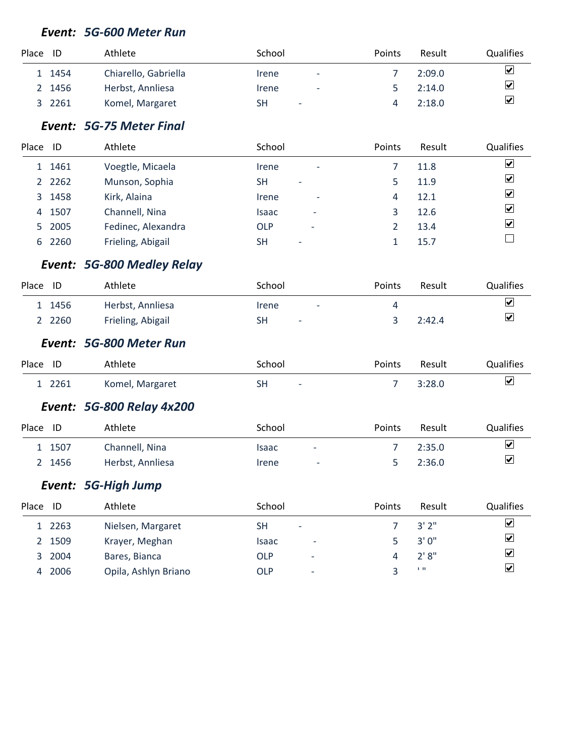#### *Event: 5G-600 Meter Run*

| Place ID |        | Athlete              | School                            | Points | Result | <b>Qualifies</b>        |
|----------|--------|----------------------|-----------------------------------|--------|--------|-------------------------|
|          | 1 1454 | Chiarello, Gabriella | Irene<br>$\overline{\phantom{a}}$ |        | 2:09.0 | ⊻                       |
| 2        | 1456   | Herbst, Annliesa     | Irene<br>$\overline{\phantom{a}}$ |        | 2:14.0 | $\overline{\mathbf{v}}$ |
|          | 2261   | Komel, Margaret      | SH<br>۰                           |        | 2:18.0 | $\triangledown$         |

## *Event: 5G-75 Meter Final*

| Place | -ID       | Athlete            | School                                | <b>Points</b> | Result | Qualifies                    |
|-------|-----------|--------------------|---------------------------------------|---------------|--------|------------------------------|
|       | 1 1461    | Voegtle, Micaela   | Irene<br>$\overline{\phantom{a}}$     |               | 11.8   | ⊻                            |
|       | 2 2 2 6 2 | Munson, Sophia     | <b>SH</b><br>$\overline{\phantom{a}}$ |               | 11.9   | ⊻                            |
|       | 3 1458    | Kirk, Alaina       | Irene<br>$\overline{\phantom{a}}$     | 4             | 12.1   | $\boxed{\blacktriangledown}$ |
| 4     | 1507      | Channell, Nina     | Isaac                                 | 3             | 12.6   | ⊻                            |
|       | 5 2005    | Fedinec, Alexandra | <b>OLP</b><br>٠                       |               | 13.4   | ⊻                            |
| 6     | 2260      | Frieling, Abigail  | SΗ<br>$\overline{\phantom{a}}$        |               | 15.7   |                              |

# *Event: 5G-800 Medley Relay*

| Place | ID        | Athlete           | School                            | <b>Points</b> | Result | <b>Qualifies</b>     |
|-------|-----------|-------------------|-----------------------------------|---------------|--------|----------------------|
|       | 1 1456    | Herbst, Annliesa  | Irene<br>$\overline{\phantom{a}}$ |               |        | $\blacktriangledown$ |
|       | 2 2 2 6 0 | Frieling, Abigail | SΗ<br>$\overline{\phantom{a}}$    |               | 2:42.4 | $\blacktriangledown$ |

#### *Event: 5G-800 Meter Run*

| Place ID | Athlete         | School       | Points | Result | Qualifies               |
|----------|-----------------|--------------|--------|--------|-------------------------|
| 2261     | Komel, Margaret | SΗ<br>$\sim$ |        | 3:28.0 | $\overline{\mathbf{v}}$ |

#### *Event: 5G-800 Relay 4x200*

| Place ID |        | Athlete          | School                            | <b>Points</b> | Result | <b>Qualifies</b>        |
|----------|--------|------------------|-----------------------------------|---------------|--------|-------------------------|
|          | 1 1507 | Channell, Nina   | Isaac<br>$\overline{\phantom{0}}$ |               | 2:35.0 | $\blacktriangledown$    |
|          | 2 1456 | Herbst, Annliesa | Irene<br>$\overline{\phantom{a}}$ |               | 2:36.0 | $\overline{\mathbf{v}}$ |

#### *Event: 5G-High Jump*

| Place | ID     | Athlete              | School                                 | Points | Result    | <b>Qualifies</b>        |
|-------|--------|----------------------|----------------------------------------|--------|-----------|-------------------------|
|       | 1 2263 | Nielsen, Margaret    | SН<br>$\overline{\phantom{a}}$         |        | 3'2''     | ⊻                       |
|       | 2 1509 | Krayer, Meghan       | Isaac<br>$\overline{\phantom{0}}$      |        | 3'0''     | ☑                       |
|       | 3 2004 | Bares, Bianca        | <b>OLP</b><br>$\overline{\phantom{0}}$ |        | 2'8''     | $\overline{\mathbf{v}}$ |
| 4     | 2006   | Opila, Ashlyn Briano | <b>OLP</b><br>$\overline{a}$           |        | <b>TH</b> | ⊻                       |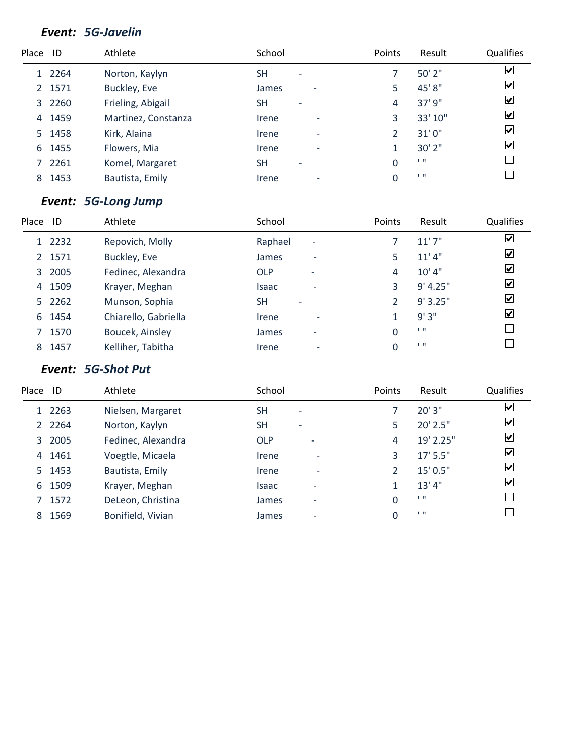#### *Event: 5G-Javelin*

| Place ID |        | Athlete             | School                                |                          | Points | Result         | Qualifies               |
|----------|--------|---------------------|---------------------------------------|--------------------------|--------|----------------|-------------------------|
|          | 1 2264 | Norton, Kaylyn      | <b>SH</b><br>$\overline{\phantom{a}}$ |                          |        | 50' 2"         | $\overline{\mathbf{v}}$ |
|          | 2 1571 | Buckley, Eve        | James                                 | $\overline{\phantom{0}}$ | 5      | 45' 8"         | $\blacktriangledown$    |
|          | 3 2260 | Frieling, Abigail   | <b>SH</b><br>$\overline{\phantom{0}}$ |                          | 4      | 37' 9"         | $\overline{\mathbf{v}}$ |
| 4        | 1459   | Martinez, Constanza | Irene                                 | ٠                        | 3      | 33' 10"        | $\blacktriangledown$    |
|          | 5 1458 | Kirk, Alaina        | Irene                                 | $\overline{\phantom{a}}$ | 2      | 31'0"          | $\overline{\mathbf{v}}$ |
| 6        | 1455   | Flowers, Mia        | Irene                                 | $\overline{\phantom{0}}$ |        | 30' 2"         | $\overline{\mathbf{v}}$ |
|          | 2261   | Komel, Margaret     | <b>SH</b><br>$\overline{\phantom{a}}$ |                          | 0      | 1.11           |                         |
| 8        | 1453   | Bautista, Emily     | Irene                                 | $\overline{\phantom{0}}$ |        | $\blacksquare$ |                         |
|          |        |                     |                                       |                          |        |                |                         |

#### *Event: 5G-Long Jump*

| Place | ID     | Athlete              | School                                 | Points | Result    | Qualifies               |
|-------|--------|----------------------|----------------------------------------|--------|-----------|-------------------------|
|       | 1 2232 | Repovich, Molly      | Raphael<br>$\overline{\phantom{a}}$    |        | 11'7''    | $\overline{\mathbf{v}}$ |
|       | 2 1571 | Buckley, Eve         | James<br>$\overline{\phantom{a}}$      | 5      | 11'4"     | $\overline{\mathbf{v}}$ |
|       | 3 2005 | Fedinec, Alexandra   | <b>OLP</b><br>$\overline{\phantom{0}}$ | 4      | $10'$ 4"  | $\overline{\mathbf{v}}$ |
|       | 4 1509 | Krayer, Meghan       | <b>Isaac</b>                           | 3      | 9' 4.25'' | $\overline{\mathbf{v}}$ |
|       | 5 2262 | Munson, Sophia       | <b>SH</b><br>$\overline{\phantom{0}}$  |        | 9'3.25"   | $\blacktriangledown$    |
| 6     | 1454   | Chiarello, Gabriella | Irene<br>٠                             |        | 9'3"      | $\blacktriangledown$    |
|       | 7 1570 | Boucek, Ainsley      | James<br>$\overline{\phantom{a}}$      | 0      | 1.11      |                         |
| 8     | 1457   | Kelliher, Tabitha    | Irene<br>۰                             |        | 1.11      |                         |

### *Event: 5G-Shot Put*

| Place | ID        | Athlete            | School                                 | Points | Result     | <b>Qualifies</b>             |
|-------|-----------|--------------------|----------------------------------------|--------|------------|------------------------------|
|       | 1 2263    | Nielsen, Margaret  | <b>SH</b><br>$\overline{\phantom{a}}$  |        | 20'3''     | $\boxed{\checkmark}$         |
|       | 2 2 2 6 4 | Norton, Kaylyn     | <b>SH</b><br>$\overline{\phantom{a}}$  | 5      | 20' 2.5"   | ⊻                            |
|       | 3 2005    | Fedinec, Alexandra | <b>OLP</b><br>$\overline{\phantom{a}}$ | 4      | 19' 2.25"  | ⊻                            |
| 4     | 1461      | Voegtle, Micaela   | Irene<br>$\overline{\phantom{a}}$      | 3      | $17'$ 5.5" | ⊻                            |
|       | 5 1453    | Bautista, Emily    | Irene<br>$\overline{\phantom{a}}$      | 2      | 15' 0.5''  | $\boxed{\blacktriangledown}$ |
| 6     | 1509      | Krayer, Meghan     | Isaac<br>$\overline{\phantom{0}}$      | 1      | 13' 4''    | $ \boldsymbol{v} $           |
|       | 1572      | DeLeon, Christina  | James<br>$\overline{\phantom{0}}$      | 0      | 1.11       |                              |
| 8     | 1569      | Bonifield, Vivian  | James<br>$\overline{\phantom{0}}$      | 0      | 1.11       |                              |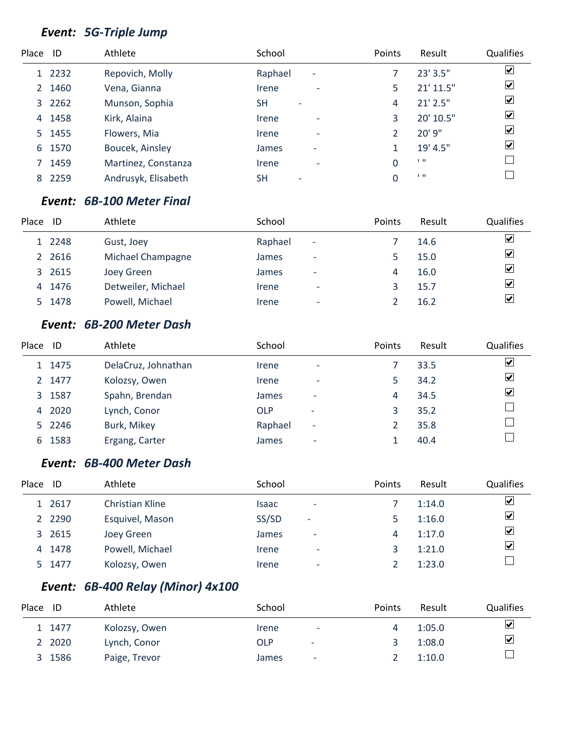# *Event: 5G-Triple Jump*

| Place ID     |        | Athlete             | School                                | Points | Result         | <b>Qualifies</b>        |
|--------------|--------|---------------------|---------------------------------------|--------|----------------|-------------------------|
|              | 1 2232 | Repovich, Molly     | Raphael<br>$\overline{\phantom{a}}$   |        | 23' 3.5"       | $\overline{\mathbf{v}}$ |
| $\mathbf{2}$ | 1460   | Vena, Gianna        | Irene<br>$\overline{\phantom{a}}$     |        | 21' 11.5"      | $\overline{\mathbf{v}}$ |
|              | 3 2262 | Munson, Sophia      | SΗ<br>$\overline{\phantom{0}}$        | 4      | $21'$ $2.5''$  | $\overline{\mathbf{v}}$ |
| 4            | 1458   | Kirk, Alaina        | Irene<br>$\overline{\phantom{a}}$     | 3      | 20' 10.5"      | $\blacktriangledown$    |
|              | 5 1455 | Flowers, Mia        | Irene<br>$\overline{\phantom{a}}$     |        | 20' 9"         | $\overline{\mathbf{v}}$ |
| 6            | 1570   | Boucek, Ainsley     | James<br>$\overline{\phantom{a}}$     |        | 19' 4.5"       | $\overline{\mathbf{v}}$ |
|              | 1459   | Martinez, Constanza | Irene<br>$\overline{\phantom{a}}$     | 0      | 1.11           |                         |
| 8            | 2259   | Andrusyk, Elisabeth | <b>SH</b><br>$\overline{\phantom{0}}$ |        | $\blacksquare$ |                         |

#### *Event: 6B-100 Meter Final*

| Place | ID     | Athlete            | School  |                          | Points | Result | Qualifies               |
|-------|--------|--------------------|---------|--------------------------|--------|--------|-------------------------|
|       | 1 2248 | Gust, Joey         | Raphael | $\overline{\phantom{a}}$ |        | 14.6   | $\overline{\mathbf{v}}$ |
|       | 2 2616 | Michael Champagne  | James   | $\overline{\phantom{0}}$ |        | 15.0   | $\overline{\mathbf{v}}$ |
|       | 3 2615 | Joey Green         | James   | $\overline{\phantom{0}}$ | 4      | 16.0   | $\overline{\mathbf{v}}$ |
|       | 4 1476 | Detweiler, Michael | Irene   | $\overline{\phantom{0}}$ |        | 15.7   | $\overline{\mathbf{v}}$ |
|       | 5 1478 | Powell, Michael    | Irene   | $\overline{\phantom{a}}$ |        | 16.2   | $\overline{\mathbf{v}}$ |

### *Event: 6B-200 Meter Dash*

| Place | ID     | Athlete             | School     |                          | Points | Result | Qualifies               |
|-------|--------|---------------------|------------|--------------------------|--------|--------|-------------------------|
|       | 1 1475 | DelaCruz, Johnathan | Irene      | $\overline{\phantom{a}}$ |        | 33.5   | $\overline{\mathbf{v}}$ |
|       | 2 1477 | Kolozsy, Owen       | Irene      | $\overline{\phantom{a}}$ |        | 34.2   | $\overline{\mathbf{v}}$ |
|       | 3 1587 | Spahn, Brendan      | James      | $\overline{\phantom{0}}$ | 4      | 34.5   | $\overline{\mathbf{v}}$ |
| 4     | 2020   | Lynch, Conor        | <b>OLP</b> | $\overline{\phantom{a}}$ | 3      | 35.2   |                         |
|       | 5 2246 | Burk, Mikey         | Raphael    | $\overline{\phantom{a}}$ |        | 35.8   |                         |
| 6     | 1583   | Ergang, Carter      | James      | $\overline{\phantom{a}}$ |        | 40.4   |                         |

#### *Event: 6B-400 Meter Dash*

| Place | ID        | Athlete         | School                            | Points | Result | <b>Qualifies</b>     |
|-------|-----------|-----------------|-----------------------------------|--------|--------|----------------------|
|       | 1 2617    | Christian Kline | Isaac<br>$\overline{\phantom{a}}$ |        | 1:14.0 | ⊻                    |
|       | 2 2 2 9 0 | Esquivel, Mason | SS/SD<br>٠                        |        | 1:16.0 | ☑                    |
| 3     | 2615      | Joey Green      | James<br>$\overline{\phantom{a}}$ | 4      | 1:17.0 | ⊻                    |
| 4     | 1478      | Powell, Michael | Irene<br>$\overline{\phantom{a}}$ |        | 1:21.0 | $\boxed{\mathbf{v}}$ |
|       | 5 1477    | Kolozsy, Owen   | Irene<br>$\overline{\phantom{a}}$ |        | 1:23.0 |                      |

# *Event: 6B-400 Relay (Minor) 4x100*

| Place | ID     | Athlete       | School                     |                          | Points | Result | <b>Qualifies</b> |
|-------|--------|---------------|----------------------------|--------------------------|--------|--------|------------------|
|       | 1 1477 | Kolozsy, Owen | <i><u><b>Irene</b></u></i> | ٠                        |        | 1:05.0 | $\triangledown$  |
|       | 2 2020 | Lynch, Conor  | OLP                        | $\overline{\phantom{a}}$ |        | 1:08.0 | $\triangledown$  |
|       | 3 1586 | Paige, Trevor | <b>James</b>               | -                        |        | 1:10.0 |                  |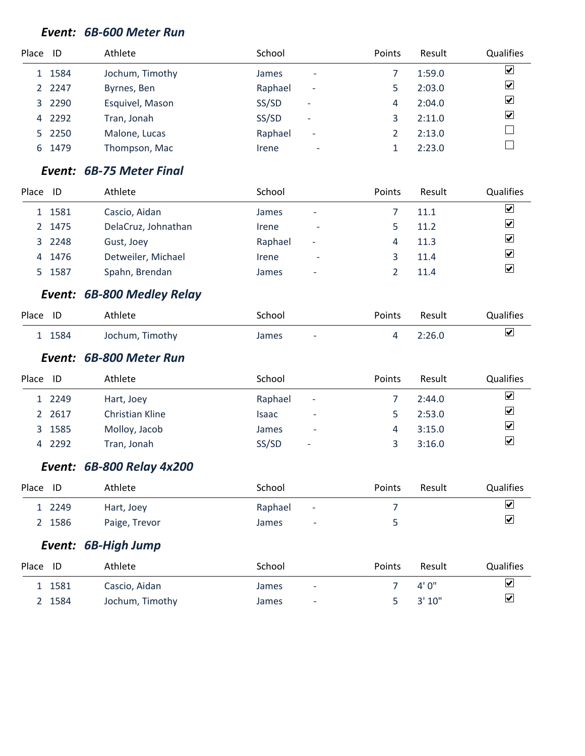#### *Event: 6B-600 Meter Run*

| Place ID |           | Athlete         | School                                   | Points | Result | <b>Qualifies</b>        |
|----------|-----------|-----------------|------------------------------------------|--------|--------|-------------------------|
|          | 1 1584    | Jochum, Timothy | <b>James</b><br>$\overline{\phantom{0}}$ |        | 1:59.0 | $\overline{\mathbf{v}}$ |
|          | 2 2 2 4 7 | Byrnes, Ben     | Raphael<br>٠                             |        | 2:03.0 | $\overline{\mathbf{v}}$ |
|          | 3 2290    | Esquivel, Mason | SS/SD<br>$\overline{\phantom{0}}$        | 4      | 2:04.0 | $\overline{\mathbf{v}}$ |
| 4        | 2292      | Tran, Jonah     | SS/SD<br>$\overline{\phantom{0}}$        |        | 2:11.0 | $\overline{\mathbf{v}}$ |
|          | 5 2250    | Malone, Lucas   | Raphael<br>$\overline{\phantom{a}}$      |        | 2:13.0 |                         |
| 6        | 1479      | Thompson, Mac   | Irene<br>-                               |        | 2:23.0 |                         |

#### *Event: 6B-75 Meter Final*

| Place | ID     | Athlete             | School  |                          | Points | Result | Qualifies               |
|-------|--------|---------------------|---------|--------------------------|--------|--------|-------------------------|
|       | 1 1581 | Cascio, Aidan       | James   | -                        |        | 11.1   | ⊻                       |
|       | 2 1475 | DelaCruz, Johnathan | Irene   | $\overline{\phantom{a}}$ |        | 11.2   | ⊻                       |
|       | 3 2248 | Gust, Joey          | Raphael | ٠                        | 4      | 11.3   | $\overline{\mathbf{v}}$ |
|       | 4 1476 | Detweiler, Michael  | Irene   | ٠                        |        | 11.4   | ⊻                       |
|       | 5 1587 | Spahn, Brendan      | James   | $\overline{\phantom{0}}$ |        | 11.4   | $ \boldsymbol{v} $      |

#### *Event: 6B-800 Medley Relay*

| Place ID |        | Athlete         | School              | Points | Result | <b>Qualifies</b> |
|----------|--------|-----------------|---------------------|--------|--------|------------------|
|          | 1 1584 | Jochum, Timothy | James<br>$\sim$ $-$ |        | 2:26.0 | ☑                |

#### *Event: 6B-800 Meter Run*

| Place | -ID    | Athlete         | School                            | Points | Result | <b>Qualifies</b>        |
|-------|--------|-----------------|-----------------------------------|--------|--------|-------------------------|
|       | 1 2249 | Hart, Joey      | Raphael<br>-                      |        | 2:44.0 | ⊻                       |
|       | 2 2617 | Christian Kline | Isaac<br>$\overline{\phantom{0}}$ |        | 2:53.0 | $\blacktriangledown$    |
|       | 3 1585 | Molloy, Jacob   | James<br>$\overline{\phantom{0}}$ |        | 3:15.0 | ☑                       |
|       | 4 2292 | Tran, Jonah     | SS/SD<br>$\overline{\phantom{a}}$ |        | 3:16.0 | $\overline{\mathbf{v}}$ |

#### *Event: 6B-800 Relay 4x200*

| Place ID |        | Athlete       | School                             | <b>Points</b> | Result | Qualifies |
|----------|--------|---------------|------------------------------------|---------------|--------|-----------|
|          | 1 2249 | Hart, Joey    | Raphael<br>$\sim 100$ km s $^{-1}$ |               |        | ⊻         |
|          | 2 1586 | Paige, Trevor | James<br>$\overline{\phantom{a}}$  |               |        | ⊻         |

#### *Event: 6B-High Jump*

| Place ID |        | Athlete         | School |                          | <b>Points</b> | Result        | Qualifies               |
|----------|--------|-----------------|--------|--------------------------|---------------|---------------|-------------------------|
|          | 1 1581 | Cascio, Aidan   | James  | $\overline{\phantom{a}}$ |               | 4' በ"         | $\overline{\mathbf{v}}$ |
|          | 2 1584 | Jochum, Timothy | James  | ٠                        |               | $5 \t3' 10''$ | $\blacktriangledown$    |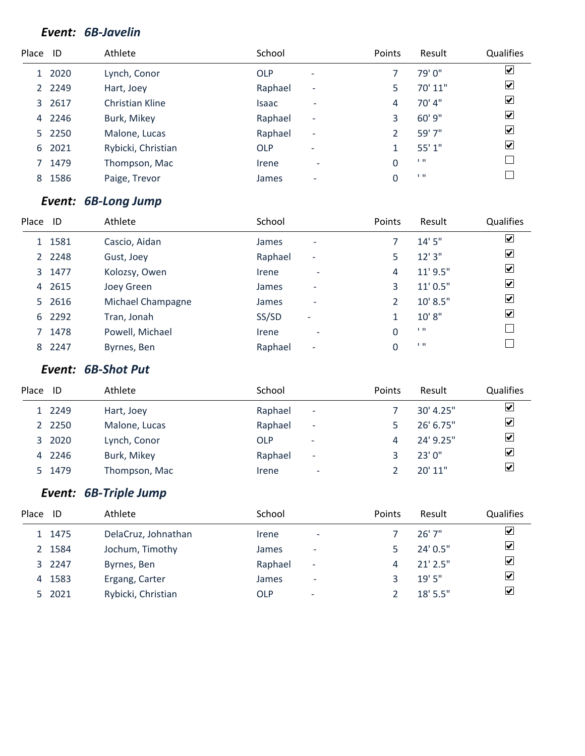#### *Event: 6B-Javelin*

| Place ID |           | Athlete            | School                     |                          | Points | Result   | Qualifies               |
|----------|-----------|--------------------|----------------------------|--------------------------|--------|----------|-------------------------|
|          | 1 2020    | Lynch, Conor       | <b>OLP</b>                 | $\overline{\phantom{a}}$ |        | 79' 0"   | $\blacktriangledown$    |
|          | 2 2 2 4 9 | Hart, Joey         | Raphael                    | $\overline{\phantom{a}}$ | 5.     | 70' 11"  | $\overline{\mathbf{v}}$ |
|          | 3 2617    | Christian Kline    | <b>Isaac</b>               | $\overline{\phantom{0}}$ | 4      | $70'$ 4" | $\overline{\mathbf{v}}$ |
| 4        | 2246      | Burk, Mikey        | Raphael                    | $\overline{\phantom{a}}$ | 3      | 60' 9"   | $\overline{\mathbf{v}}$ |
|          | 5 2250    | Malone, Lucas      | Raphael                    | $\overline{\phantom{a}}$ |        | 59' 7"   | $\overline{\mathbf{v}}$ |
| 6        | 2021      | Rybicki, Christian | <b>OLP</b>                 | $\overline{\phantom{a}}$ |        | 55'1"    | $\overline{\mathbf{v}}$ |
|          | 1479      | Thompson, Mac      | <i><u><b>Irene</b></u></i> | $\blacksquare$           | 0      | 1.11     |                         |
| 8        | 1586      | Paige, Trevor      | James                      | $\overline{\phantom{0}}$ | 0      | 1.11     |                         |
|          |           |                    |                            |                          |        |          |                         |

#### *Event: 6B-Long Jump*

| Place | -ID       | Athlete           | School                                   | Points | Result        | Qualifies                    |
|-------|-----------|-------------------|------------------------------------------|--------|---------------|------------------------------|
|       | 1 1581    | Cascio, Aidan     | James<br>$\overline{\phantom{a}}$        |        | 14'5''        | $\overline{\mathbf{v}}$      |
|       | 2 2 2 4 8 | Gust, Joey        | Raphael<br>$\overline{\phantom{a}}$      | 5      | 12'3''        | $\blacktriangledown$         |
|       | 3 1477    | Kolozsy, Owen     | Irene<br>$\overline{\phantom{a}}$        | 4      | $11'$ $9.5''$ | $\overline{\mathbf{v}}$      |
|       | 4 2615    | Joey Green        | James<br>$\overline{\phantom{0}}$        | 3      | 11' 0.5"      | $\overline{\mathbf{v}}$      |
|       | 5 2616    | Michael Champagne | <b>James</b><br>$\overline{\phantom{0}}$ |        | 10' 8.5"      | $\overline{\mathbf{v}}$      |
|       | 6 2292    | Tran, Jonah       | SS/SD<br>$\overline{\phantom{a}}$        |        | 10'8"         | $\boxed{\blacktriangledown}$ |
| 7     | 1478      | Powell, Michael   | Irene<br>$\overline{\phantom{a}}$        | 0      | 1.11          |                              |
| 8     | 2247      | Byrnes, Ben       | Raphael<br>$\overline{\phantom{a}}$      |        | 1.11          |                              |

#### *Event: 6B-Shot Put*

| Place | -ID       | Athlete       | School  |                          | <b>Points</b> | Result    | <b>Qualifies</b>        |
|-------|-----------|---------------|---------|--------------------------|---------------|-----------|-------------------------|
|       | 1 2249    | Hart, Joey    | Raphael | $\overline{\phantom{a}}$ |               | 30' 4.25" | ⊻                       |
|       | 2 2 2 5 0 | Malone, Lucas | Raphael | $\overline{\phantom{a}}$ |               | 26' 6.75" | ☑                       |
|       | 3 2020    | Lynch, Conor  | OLP     | $\overline{\phantom{a}}$ | 4             | 24' 9.25" | ☑                       |
|       | 4 2246    | Burk, Mikey   | Raphael | $\overline{\phantom{a}}$ |               | 23'0''    | ☑                       |
|       | 5 1479    | Thompson, Mac | Irene   | ٠                        |               | 20'11"    | $\overline{\mathbf{v}}$ |

# *Event: 6B-Triple Jump*

| Place | ID     | Athlete             | School     |                          | Points | Result     | <b>Qualifies</b>        |
|-------|--------|---------------------|------------|--------------------------|--------|------------|-------------------------|
|       | 1 1475 | DelaCruz, Johnathan | Irene      | $\overline{\phantom{a}}$ |        | 26'7''     | ☑                       |
|       | 2 1584 | Jochum, Timothy     | James      | $\overline{\phantom{a}}$ |        | $24'$ 0.5" | $\overline{\mathbf{v}}$ |
|       | 3 2247 | Byrnes, Ben         | Raphael    | $\overline{\phantom{a}}$ |        | $21'$ 2.5" | $\overline{\mathbf{v}}$ |
|       | 4 1583 | Ergang, Carter      | James      | ۰                        |        | 19'5''     | $\blacktriangledown$    |
|       | 5 2021 | Rybicki, Christian  | <b>OLP</b> | $\overline{\phantom{0}}$ |        | $18'$ 5.5" | $\overline{\mathbf{v}}$ |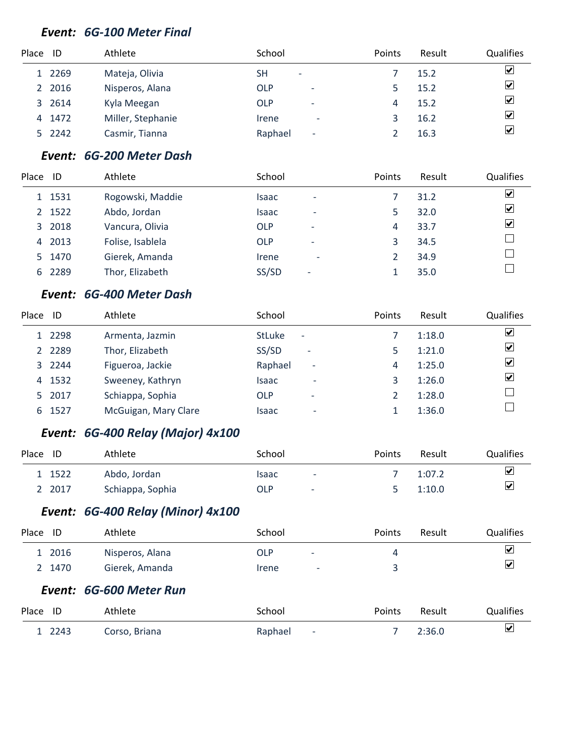#### *Event: 6G-100 Meter Final*

| Place ID |        | Athlete           | School                                 | Points | Result | <b>Qualifies</b>        |
|----------|--------|-------------------|----------------------------------------|--------|--------|-------------------------|
|          | 1 2269 | Mateja, Olivia    | SΗ<br>$\overline{\phantom{0}}$         |        | 15.2   | $\overline{\mathbf{v}}$ |
|          | 2 2016 | Nisperos, Alana   | <b>OLP</b><br>$\overline{\phantom{a}}$ |        | 15.2   | $\overline{\mathbf{v}}$ |
|          | 3 2614 | Kyla Meegan       | <b>OLP</b><br>$\overline{\phantom{a}}$ | 4      | 15.2   | $\overline{\mathbf{v}}$ |
| 4        | 1472   | Miller, Stephanie | Irene<br>$\overline{\phantom{a}}$      |        | 16.2   | $\blacktriangledown$    |
|          | 5 2242 | Casmir, Tianna    | Raphael<br>$\overline{\phantom{a}}$    |        | 16.3   | $\overline{\mathbf{v}}$ |

# *Event: 6G-200 Meter Dash*

| Place ID |        | Athlete          | School     |                          | Points | Result | <b>Qualifies</b> |
|----------|--------|------------------|------------|--------------------------|--------|--------|------------------|
|          | 1 1531 | Rogowski, Maddie | Isaac      | $\overline{\phantom{a}}$ |        | 31.2   | ⊻                |
|          | 2 1522 | Abdo, Jordan     | Isaac      | $\overline{\phantom{a}}$ | 5      | 32.0   | ⊻                |
|          | 3 2018 | Vancura, Olivia  | <b>OLP</b> | $\overline{\phantom{a}}$ | 4      | 33.7   | ⊻                |
| 4        | 2013   | Folise, Isablela | <b>OLP</b> | $\overline{\phantom{a}}$ | 3      | 34.5   |                  |
|          | 5 1470 | Gierek, Amanda   | Irene      | $\overline{\phantom{a}}$ |        | 34.9   |                  |
| 6        | 2289   | Thor, Elizabeth  | SS/SD      | $\overline{\phantom{0}}$ |        | 35.0   |                  |

#### *Event: 6G-400 Meter Dash*

| Place | ID        | Athlete              | School                                    | Points | Result | Qualifies               |
|-------|-----------|----------------------|-------------------------------------------|--------|--------|-------------------------|
|       | 1 2298    | Armenta, Jazmin      | <b>StLuke</b><br>$\overline{\phantom{a}}$ |        | 1:18.0 | $\overline{\mathbf{v}}$ |
|       | 2 2 2 8 9 | Thor, Elizabeth      | SS/SD<br>$\overline{\phantom{a}}$         |        | 1:21.0 | $\overline{\mathbf{v}}$ |
|       | 3 2244    | Figueroa, Jackie     | Raphael<br>$\overline{\phantom{a}}$       | 4      | 1:25.0 | $\overline{\mathbf{v}}$ |
|       | 4 1532    | Sweeney, Kathryn     | <b>Isaac</b><br>$\overline{\phantom{0}}$  |        | 1:26.0 | $\overline{\mathbf{v}}$ |
|       | 5 2017    | Schiappa, Sophia     | OLP<br>$\overline{\phantom{a}}$           |        | 1:28.0 |                         |
|       | 6 1527    | McGuigan, Mary Clare | Isaac<br>$\overline{\phantom{0}}$         |        | 1:36.0 |                         |

#### *Event: 6G-400 Relay (Major) 4x100*

| Place ID |        | Athlete          | School |                          | <b>Points</b> | Result | Qualifies               |
|----------|--------|------------------|--------|--------------------------|---------------|--------|-------------------------|
|          | 1 1522 | Abdo, Jordan     | Isaac  | $\overline{\phantom{a}}$ |               | 1:07.2 | ⊻                       |
|          | 2 2017 | Schiappa, Sophia | OLP    | $\overline{\phantom{a}}$ |               | 1:10.0 | $\overline{\mathbf{v}}$ |

#### *Event: 6G-400 Relay (Minor) 4x100*

| Place | ID     | Athlete                 | School                                 | <b>Points</b> | Result | Qualifies                    |
|-------|--------|-------------------------|----------------------------------------|---------------|--------|------------------------------|
|       | 1 2016 | Nisperos, Alana         | <b>OLP</b><br>$\overline{\phantom{a}}$ | 4             |        | $\boxed{\blacktriangledown}$ |
|       | 2 1470 | Gierek, Amanda          | Irene<br>$\overline{\phantom{a}}$      |               |        | ☑                            |
|       |        | Event: 6G-600 Meter Run |                                        |               |        |                              |

#### Place ID athlete and School School Points Result Qualifies  $\blacktriangledown$ 2243 Corso, Briana Raphael - 7 2:36.0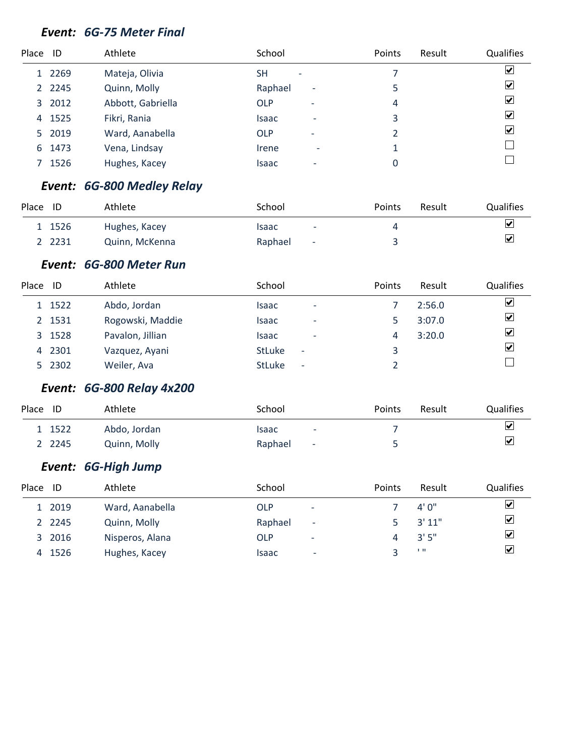#### *Event: 6G-75 Meter Final*

| Place ID |           | Athlete           | School                                 | Points | Result | <b>Qualifies</b>        |
|----------|-----------|-------------------|----------------------------------------|--------|--------|-------------------------|
|          | 1 2269    | Mateja, Olivia    | SΗ<br>$\overline{\phantom{a}}$         |        |        | $\overline{\mathbf{v}}$ |
|          | 2 2 2 4 5 | Quinn, Molly      | Raphael<br>$\overline{\phantom{a}}$    | 5      |        | $\overline{\mathbf{v}}$ |
|          | 3 2012    | Abbott, Gabriella | <b>OLP</b><br>$\overline{\phantom{a}}$ | 4      |        | $\blacktriangledown$    |
| 4        | 1525      | Fikri, Rania      | Isaac<br>$\overline{\phantom{0}}$      | 3      |        | $\blacktriangledown$    |
|          | 5 2019    | Ward, Aanabella   | <b>OLP</b><br>$\overline{\phantom{a}}$ |        |        | $\overline{\mathbf{v}}$ |
| 6        | 1473      | Vena, Lindsay     | Irene<br>$\overline{\phantom{a}}$      |        |        |                         |
|          | 1526      | Hughes, Kacey     | Isaac<br>$\overline{\phantom{0}}$      |        |        |                         |
|          |           |                   |                                        |        |        |                         |

#### *Event: 6G-800 Medley Relay*

| Place | ID     | Athlete        | School                              | Points | Result | Qualifies               |
|-------|--------|----------------|-------------------------------------|--------|--------|-------------------------|
|       | 1 1526 | Hughes, Kacey  | Isaac<br>$\overline{\phantom{a}}$   |        |        | $\overline{\mathbf{v}}$ |
|       | - 2231 | Quinn, McKenna | Raphael<br>$\overline{\phantom{a}}$ |        |        | ⊻                       |

#### *Event: 6G-800 Meter Run*

| Place | ID     | Athlete          | School                                    | Points | Result | <b>Qualifies</b>        |
|-------|--------|------------------|-------------------------------------------|--------|--------|-------------------------|
|       | 1 1522 | Abdo, Jordan     | <b>Isaac</b><br>$\overline{\phantom{0}}$  |        | 2:56.0 | ☑                       |
|       | 2 1531 | Rogowski, Maddie | <b>Isaac</b><br>$\overline{\phantom{0}}$  |        | 3:07.0 | $\overline{\mathbf{v}}$ |
|       | 3 1528 | Pavalon, Jillian | <b>Isaac</b><br>$\overline{\phantom{a}}$  | 4      | 3:20.0 | $\overline{\mathbf{v}}$ |
|       | 4 2301 | Vazquez, Ayani   | <b>StLuke</b><br>$\overline{\phantom{a}}$ |        |        | $\blacktriangledown$    |
|       | 5 2302 | Weiler, Ava      | <b>StLuke</b><br>$\overline{\phantom{a}}$ |        |        |                         |
|       |        |                  |                                           |        |        |                         |

# *Event: 6G-800 Relay 4x200*

| Place ID |           | Athlete      | School            | Points | Result | Qualifies               |
|----------|-----------|--------------|-------------------|--------|--------|-------------------------|
|          | 1 1522    | Abdo, Jordan | Isaac<br>$\sim$   |        |        | $\overline{\mathbf{v}}$ |
|          | 2 2 2 4 5 | Quinn, Molly | Raphael<br>$\sim$ |        |        | $\overline{\mathbf{v}}$ |

# *Event: 6G-High Jump*

| Place | - ID      | Athlete         | School                                 | Points | Result     | <b>Qualifies</b>             |
|-------|-----------|-----------------|----------------------------------------|--------|------------|------------------------------|
|       | 1 2019    | Ward, Aanabella | <b>OLP</b><br>$\overline{\phantom{a}}$ |        | 4'0''      | ⊻                            |
|       | 2 2 2 4 5 | Quinn, Molly    | Raphael<br>٠                           |        | 3'11"      | ☑                            |
|       | 3 2016    | Nisperos, Alana | OLP<br>٠                               |        | 3'5''      | $\boxed{\blacktriangledown}$ |
|       | 4 1526    | Hughes, Kacey   | Isaac<br>$\qquad \qquad \blacksquare$  |        | <b>1 H</b> | $\overline{\mathbf{v}}$      |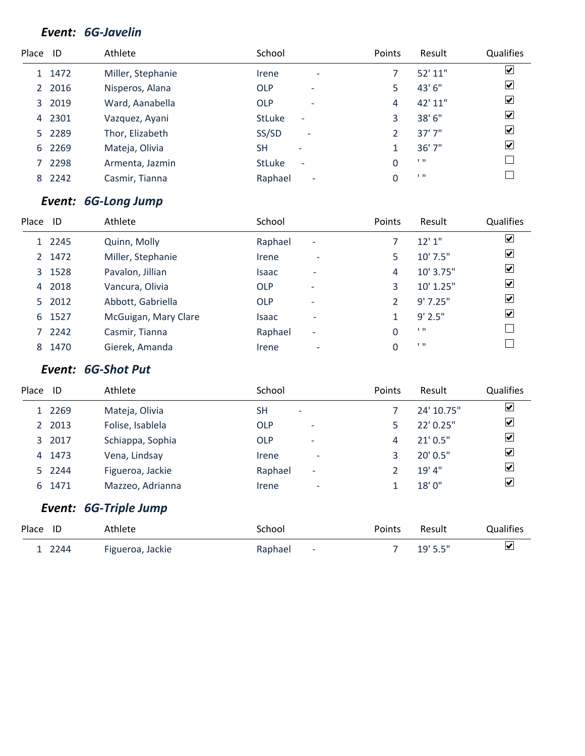# *Event: 6G-Javelin*

| Place ID |        | Athlete           | School                                    | Points | Result  | Qualifies               |
|----------|--------|-------------------|-------------------------------------------|--------|---------|-------------------------|
|          | 1 1472 | Miller, Stephanie | Irene<br>$\overline{\phantom{a}}$         |        | 52' 11" | $\blacktriangledown$    |
|          | 2 2016 | Nisperos, Alana   | <b>OLP</b><br>$\overline{\phantom{a}}$    | 5      | 43' 6"  | $\overline{\mathbf{v}}$ |
|          | 3 2019 | Ward, Aanabella   | <b>OLP</b><br>$\overline{\phantom{a}}$    | 4      | 42' 11" | $\overline{\mathbf{v}}$ |
| 4        | 2301   | Vazquez, Ayani    | <b>StLuke</b><br>$\overline{a}$           | 3      | 38' 6"  | $\overline{\mathbf{v}}$ |
|          | 5 2289 | Thor, Elizabeth   | SS/SD<br>$\overline{\phantom{a}}$         | 2      | 37'7"   | $\overline{\mathbf{v}}$ |
| 6        | 2269   | Mateja, Olivia    | <b>SH</b><br>-                            |        | 36'7''  | $\overline{\mathbf{v}}$ |
|          | 2298   | Armenta, Jazmin   | <b>StLuke</b><br>$\overline{\phantom{a}}$ | 0      | 1.11    |                         |
| 8        | 2242   | Casmir, Tianna    | Raphael<br>$\overline{\phantom{a}}$       | 0      | 1.11    |                         |
|          |        |                   |                                           |        |         |                         |

#### *Event: 6G-Long Jump*

| Place | ID     | Athlete              | School       |                          | Points | Result         | Qualifies                    |
|-------|--------|----------------------|--------------|--------------------------|--------|----------------|------------------------------|
|       | 1 2245 | Quinn, Molly         | Raphael      | $\overline{\phantom{a}}$ |        | 12'1''         | $\overline{\mathbf{v}}$      |
|       | 2 1472 | Miller, Stephanie    | Irene        | $\overline{\phantom{0}}$ | 5      | 10' 7.5"       | $\blacktriangledown$         |
|       | 3 1528 | Pavalon, Jillian     | <b>Isaac</b> | $\overline{\phantom{0}}$ | 4      | 10' 3.75"      | $\overline{\mathbf{v}}$      |
|       | 4 2018 | Vancura, Olivia      | <b>OLP</b>   | $\overline{\phantom{0}}$ | ς      | 10' 1.25"      | $\overline{\mathbf{v}}$      |
|       | 5 2012 | Abbott, Gabriella    | <b>OLP</b>   | $\overline{\phantom{0}}$ |        | 9'7.25''       | $\overline{\mathbf{v}}$      |
| 6     | 1527   | McGuigan, Mary Clare | <b>Isaac</b> | $\overline{\phantom{0}}$ |        | $9'$ 2.5"      | $\boxed{\blacktriangledown}$ |
|       | 7 2242 | Casmir, Tianna       | Raphael      | $\overline{\phantom{a}}$ | 0      | $\blacksquare$ |                              |
| 8     | 1470   | Gierek, Amanda       | Irene        | $\overline{\phantom{a}}$ |        | 1.11           |                              |

## *Event: 6G-Shot Put*

| Place | ID                 | Athlete               | School                                 | Points | Result     | Qualifies               |
|-------|--------------------|-----------------------|----------------------------------------|--------|------------|-------------------------|
|       | 1 2269             | Mateja, Olivia        | <b>SH</b><br>$\overline{\phantom{0}}$  |        | 24' 10.75" | ☑                       |
|       | 2 2013             | Folise, Isablela      | <b>OLP</b><br>$\overline{\phantom{0}}$ | 5      | 22' 0.25"  | $\blacktriangledown$    |
|       | 3 2017             | Schiappa, Sophia      | <b>OLP</b><br>$\overline{\phantom{a}}$ | 4      | 21'0.5''   | ⊻                       |
|       | 4 1473             | Vena, Lindsay         | Irene<br>٠                             | 3      | 20' 0.5"   | $\blacktriangleright$   |
|       | 5 2244             | Figueroa, Jackie      | Raphael<br>$\overline{\phantom{0}}$    | 2      | 19' 4"     | ☑                       |
| 6     | 1471               | Mazzeo, Adrianna      | Irene<br>-                             | 1      | 18'0"      | ☑                       |
|       |                    | Event: 6G-Triple Jump |                                        |        |            |                         |
| Place | ID                 | Athlete               | School                                 | Points | Result     | Qualifies               |
|       | 1.22 <sub>AA</sub> | Figueroa Jackie       | Ranhael<br>- 1                         | 7      | 10'55''    | $\overline{\mathbf{v}}$ |

2244 Figueroa, Jackie Raphael - 7 19' 5.5"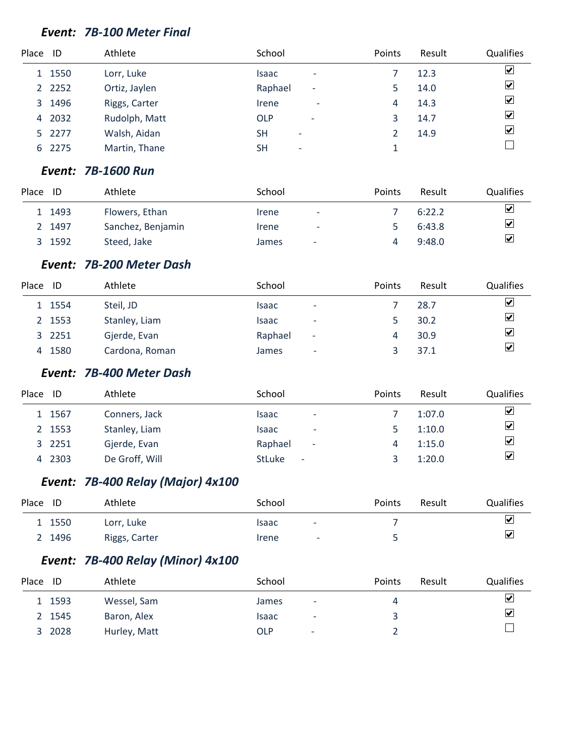#### *Event: 7B-100 Meter Final*

| Place ID |           | Athlete       | School                                 | Points | Result | Qualifies               |
|----------|-----------|---------------|----------------------------------------|--------|--------|-------------------------|
|          | 1 1550    | Lorr, Luke    | Isaac<br>$\overline{\phantom{0}}$      |        | 12.3   | $\overline{\mathbf{v}}$ |
|          | 2 2 2 5 2 | Ortiz, Jaylen | Raphael<br>۰                           |        | 14.0   | $\overline{\mathbf{v}}$ |
|          | 3 1496    | Riggs, Carter | Irene<br>$\overline{\phantom{a}}$      | 4      | 14.3   | $\overline{\mathbf{v}}$ |
|          | 4 2032    | Rudolph, Matt | <b>OLP</b><br>$\overline{\phantom{a}}$ |        | 14.7   | $\overline{\mathbf{v}}$ |
|          | 5 2277    | Walsh, Aidan  | SΗ<br>$\overline{\phantom{a}}$         |        | 14.9   | $\overline{\mathbf{v}}$ |
|          | 6 2275    | Martin, Thane | SΗ<br>$\overline{\phantom{a}}$         |        |        |                         |

#### *Event: 7B-1600 Run*

| Place | ID     | Athlete           | School                            | <b>Points</b> | Result | Qualifies |
|-------|--------|-------------------|-----------------------------------|---------------|--------|-----------|
|       | 1 1493 | Flowers, Ethan    | <i><u><b>Irene</b></u></i><br>-   |               | 6:22.2 | ⊻         |
|       | 2 1497 | Sanchez, Benjamin | Irene<br>$\overline{\phantom{a}}$ |               | 6:43.8 | ⊻         |
|       | 3 1592 | Steed, Jake       | James<br>$\overline{\phantom{a}}$ |               | 9:48.0 | ⊻         |

#### *Event: 7B-200 Meter Dash*

| Place | ID     | Athlete        | School       |                          | Points | Result | <b>Qualifies</b>        |
|-------|--------|----------------|--------------|--------------------------|--------|--------|-------------------------|
|       | 1 1554 | Steil, JD      | <b>Isaac</b> | $\overline{\phantom{0}}$ |        | 28.7   | $\overline{\mathbf{v}}$ |
|       | 2 1553 | Stanley, Liam  | Isaac        | $\overline{\phantom{a}}$ |        | 30.2   | $\blacktriangledown$    |
|       | 3 2251 | Gjerde, Evan   | Raphael      | -                        |        | 30.9   | $\overline{\mathbf{v}}$ |
|       | 4 1580 | Cardona, Roman | James        | ۰                        |        | 37.1   | $\overline{\mathbf{v}}$ |

#### *Event: 7B-400 Meter Dash*

| Place | ID     | Athlete        | School                                    | <b>Points</b> | Result | <b>Qualifies</b>      |
|-------|--------|----------------|-------------------------------------------|---------------|--------|-----------------------|
|       | 1 1567 | Conners, Jack  | Isaac<br>$\overline{\phantom{0}}$         |               | 1:07.0 | ⊻                     |
|       | 2 1553 | Stanley, Liam  | <b>Isaac</b><br>$\overline{\phantom{0}}$  |               | 1:10.0 | $\blacktriangleright$ |
|       | 3 2251 | Gjerde, Evan   | Raphael<br>$\overline{\phantom{a}}$       | 4             | 1:15.0 | ⊻                     |
|       | 4 2303 | De Groff, Will | <b>StLuke</b><br>$\overline{\phantom{a}}$ |               | 1:20.0 | ⊻                     |

# *Event: 7B-400 Relay (Major) 4x100*

| Place | ID     | Athlete       | School |                          | Points | Result | <b>Qualifies</b>        |
|-------|--------|---------------|--------|--------------------------|--------|--------|-------------------------|
|       | 1 1550 | Lorr, Luke    | Isaac  | $\overline{\phantom{a}}$ |        |        | $\overline{\mathbf{v}}$ |
|       | 2 1496 | Riggs, Carter | Irene  | ٠                        |        |        | $\overline{\mathbf{v}}$ |

## *Event: 7B-400 Relay (Minor) 4x100*

| Place<br>ID | Athlete      | School                                 | Points | Result | <b>Qualifies</b>        |
|-------------|--------------|----------------------------------------|--------|--------|-------------------------|
| 1 1593      | Wessel, Sam  | <b>James</b><br>٠                      |        |        | $\overline{\mathbf{v}}$ |
| 2 1545      | Baron, Alex  | Isaac<br>٠                             |        |        | $\blacktriangledown$    |
| 3 2028      | Hurley, Matt | <b>OLP</b><br>$\overline{\phantom{0}}$ |        |        |                         |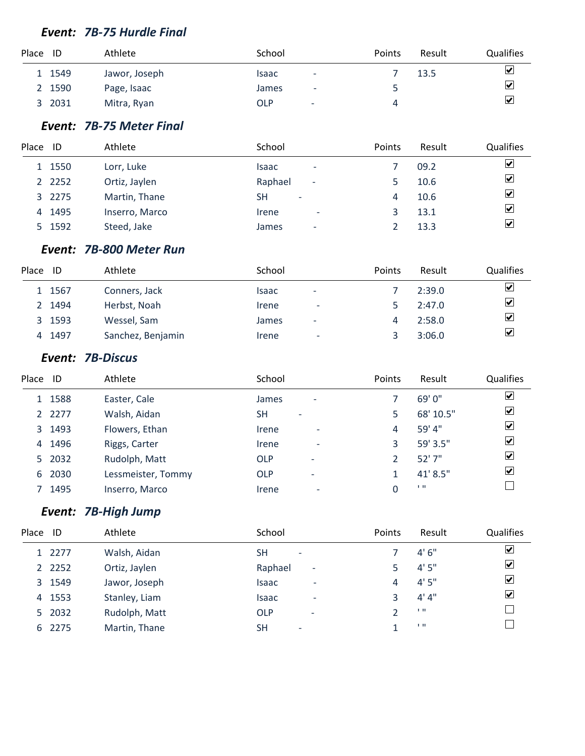#### *Event: 7B-75 Hurdle Final*

| Place ID |        | Athlete       | School                                 | <b>Points</b> | Result | <b>Qualifies</b> |
|----------|--------|---------------|----------------------------------------|---------------|--------|------------------|
|          | 1549   | Jawor, Joseph | Isaac<br>-                             |               | 13.5   | ⊻                |
|          | 2 1590 | Page, Isaac   | James<br>$\overline{\phantom{a}}$      |               |        | ⊻                |
| 3        | 2031   | Mitra, Ryan   | <b>OLP</b><br>$\overline{\phantom{a}}$ | 4             |        | $\mathbf{v}$     |

#### *Event: 7B-75 Meter Final*

| Place | ID        | Athlete        | School                              | Points | Result | <b>Qualifies</b>        |
|-------|-----------|----------------|-------------------------------------|--------|--------|-------------------------|
|       | 1 1550    | Lorr, Luke     | Isaac<br>$\overline{\phantom{a}}$   |        | 09.2   | $\overline{\mathbf{v}}$ |
|       | 2 2 2 5 2 | Ortiz, Jaylen  | Raphael<br>$\overline{\phantom{a}}$ |        | 10.6   | $\overline{\mathbf{v}}$ |
|       | 3 2275    | Martin, Thane  | SН<br>$\overline{\phantom{a}}$      | 4      | 10.6   | $\overline{\mathbf{v}}$ |
|       | 4 1495    | Inserro, Marco | Irene<br>$\overline{\phantom{a}}$   |        | 13.1   | $\overline{\mathbf{v}}$ |
|       | 5 1592    | Steed, Jake    | James<br>$\overline{\phantom{0}}$   |        | 13.3   | $\overline{\mathbf{v}}$ |

#### *Event: 7B-800 Meter Run*

| Place | ID     | Athlete           | School                     |                          | <b>Points</b> | Result | <b>Qualifies</b>        |
|-------|--------|-------------------|----------------------------|--------------------------|---------------|--------|-------------------------|
|       | 1 1567 | Conners, Jack     | Isaac                      | $\overline{\phantom{0}}$ |               | 2:39.0 | ☑                       |
|       | 2 1494 | Herbst, Noah      | Irene                      | $\overline{\phantom{a}}$ |               | 2:47.0 | $\overline{\mathbf{v}}$ |
|       | 3 1593 | Wessel, Sam       | James                      | $\overline{\phantom{0}}$ |               | 2:58.0 | $\overline{\mathbf{v}}$ |
|       | 4 1497 | Sanchez, Benjamin | <i><u><b>Irene</b></u></i> | -                        |               | 3:06.0 | $\overline{\mathbf{v}}$ |

#### *Event: 7B-Discus*

| Place ID |        | Athlete            | School     |                          | Points | Result    | Qualifies               |
|----------|--------|--------------------|------------|--------------------------|--------|-----------|-------------------------|
|          | 1 1588 | Easter, Cale       | James      | $\overline{\phantom{a}}$ |        | 69' 0"    | ☑                       |
|          | 2 2277 | Walsh, Aidan       | SΗ         | $\overline{\phantom{0}}$ | 5      | 68' 10.5" | $\overline{\mathbf{v}}$ |
|          | 3 1493 | Flowers, Ethan     | Irene      | $\overline{\phantom{a}}$ | 4      | 59' 4"    | $\overline{\mathbf{v}}$ |
| 4        | 1496   | Riggs, Carter      | Irene      | $\overline{\phantom{0}}$ | 3      | 59' 3.5"  | $\blacktriangledown$    |
|          | 5 2032 | Rudolph, Matt      | <b>OLP</b> | $\overline{\phantom{a}}$ |        | 52'7''    | $\overline{\mathbf{v}}$ |
| 6        | 2030   | Lessmeister, Tommy | <b>OLP</b> | $\overline{\phantom{a}}$ |        | 41' 8.5"  | $\overline{\mathbf{v}}$ |
|          | 1495   | Inserro, Marco     | Irene      | $\overline{\phantom{a}}$ |        | 1.11      |                         |

# *Event: 7B-High Jump*

| Place | ID        | Athlete       | School                                | Points | Result       | Qualifies               |
|-------|-----------|---------------|---------------------------------------|--------|--------------|-------------------------|
|       | 1 2277    | Walsh, Aidan  | <b>SH</b><br>$\overline{\phantom{a}}$ |        | 4'6''        | $\boxed{\checkmark}$    |
|       | 2 2 2 5 2 | Ortiz, Jaylen | Raphael<br>٠                          |        | 4'5''        | $\overline{\mathbf{v}}$ |
|       | 3 1549    | Jawor, Joseph | Isaac<br>۰                            | 4      | 4'5''        | $\blacktriangledown$    |
|       | 4 1553    | Stanley, Liam | Isaac<br>$\overline{\phantom{0}}$     | ર      | 4' 4''       | $\overline{\mathbf{v}}$ |
|       | 5 2032    | Rudolph, Matt | OLP<br>$\overline{\phantom{a}}$       |        | $\mathbf{H}$ |                         |
|       | 6 2275    | Martin, Thane | SН<br>$\overline{\phantom{a}}$        |        | 1.11         |                         |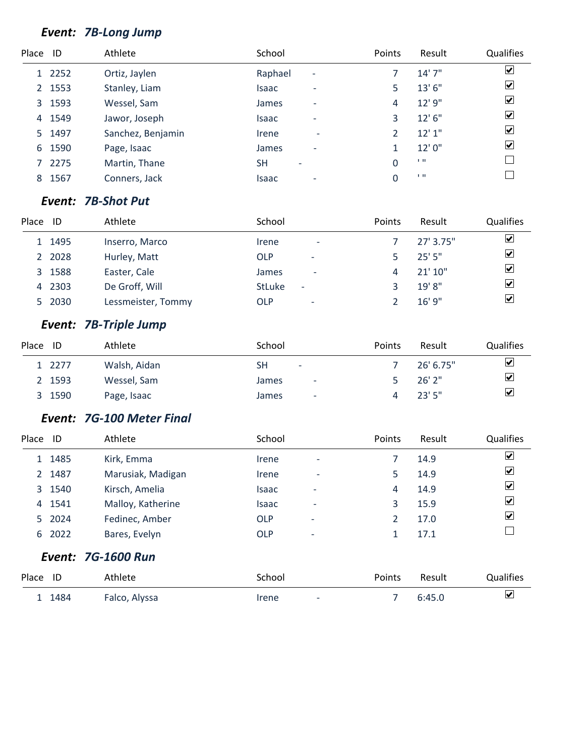# *Event: 7B-Long Jump*

| Place ID |        | Athlete           | School                                   | Points | Result         | Qualifies               |
|----------|--------|-------------------|------------------------------------------|--------|----------------|-------------------------|
|          | 1 2252 | Ortiz, Jaylen     | Raphael<br>$\overline{\phantom{a}}$      |        | 14'7''         | $\blacktriangledown$    |
|          | 2 1553 | Stanley, Liam     | Isaac<br>$\overline{\phantom{0}}$        | 5      | 13'6''         | $\overline{\mathbf{v}}$ |
|          | 3 1593 | Wessel, Sam       | <b>James</b><br>$\overline{\phantom{a}}$ | 4      | 12' 9"         | $\overline{\mathbf{v}}$ |
| 4        | 1549   | Jawor, Joseph     | Isaac<br>$\overline{\phantom{0}}$        | 3      | 12' 6''        | $\overline{\mathbf{v}}$ |
|          | 5 1497 | Sanchez, Benjamin | Irene<br>٠                               |        | 12'1''         | $\overline{\mathbf{v}}$ |
| 6        | 1590   | Page, Isaac       | James<br>$\overline{\phantom{a}}$        |        | 12'0"          | $\overline{\mathbf{v}}$ |
|          | 2275   | Martin, Thane     | <b>SH</b><br>$\overline{\phantom{0}}$    | 0      | 1.11           |                         |
| 8        | 1567   | Conners, Jack     | <b>Isaac</b>                             | 0      | $\blacksquare$ |                         |

#### *Event: 7B-Shot Put*

| Place | ID     | Athlete            | School                                    | Points | Result      | <b>Qualifies</b>        |
|-------|--------|--------------------|-------------------------------------------|--------|-------------|-------------------------|
|       | 1 1495 | Inserro, Marco     | Irene<br>٠                                |        | 27' 3.75"   | $\overline{\mathbf{v}}$ |
|       | 2 2028 | Hurley, Matt       | OLP<br>$\overline{\phantom{a}}$           |        | 25'5''      | $\overline{\mathbf{v}}$ |
|       | 3 1588 | Easter, Cale       | <b>James</b><br>$\overline{\phantom{0}}$  |        | 21'10''     | $\overline{\mathbf{v}}$ |
|       | 4 2303 | De Groff, Will     | <b>StLuke</b><br>$\overline{\phantom{0}}$ |        | $19'$ $8''$ | $\overline{\mathbf{v}}$ |
|       | 5 2030 | Lessmeister, Tommy | OLP<br>$\overline{\phantom{a}}$           |        | 16'9''      | $\overline{\mathbf{v}}$ |

# *Event: 7B-Triple Jump*

| Place | ID     | Athlete      | School                            | Points | Result    | <b>Qualifies</b>        |
|-------|--------|--------------|-----------------------------------|--------|-----------|-------------------------|
|       | 1 2277 | Walsh, Aidan | SH<br>$\overline{\phantom{a}}$    |        | 26' 6.75" | $\blacktriangledown$    |
|       | 2 1593 | Wessel, Sam  | James<br>$\overline{\phantom{a}}$ |        | $26'$ 2"  | $\blacktriangledown$    |
|       | 3 1590 | Page, Isaac  | James<br>-                        |        | 23'5''    | $\overline{\mathbf{v}}$ |

#### *Event: 7G-100 Meter Final*

| Place | ID     | Athlete                   | School     |                          | Points | Result | <b>Qualifies</b> |
|-------|--------|---------------------------|------------|--------------------------|--------|--------|------------------|
|       | 1 1485 | Kirk, Emma                | Irene      | ٠                        |        | 14.9   | ⊻                |
|       | 2 1487 | Marusiak, Madigan         | Irene      | $\overline{\phantom{0}}$ | 5      | 14.9   | ☑                |
|       | 3 1540 | Kirsch, Amelia            | Isaac      | $\overline{\phantom{0}}$ | 4      | 14.9   | ☑                |
|       | 4 1541 | Malloy, Katherine         | Isaac      | $\overline{\phantom{a}}$ | 3      | 15.9   | ☑                |
|       | 5 2024 | Fedinec, Amber            | <b>OLP</b> | -                        | 2      | 17.0   | ⊻                |
|       | 6 2022 | Bares, Evelyn             | <b>OLP</b> | $\overline{a}$           | 1      | 17.1   |                  |
|       |        | <b>Event: 7G-1600 Run</b> |            |                          |        |        |                  |
|       |        |                           |            |                          |        |        |                  |

| Place ID |        | Athlete       | School                            | <b>Points</b> | Result | <b>Qualifies</b> |
|----------|--------|---------------|-----------------------------------|---------------|--------|------------------|
|          | 1 1484 | Falco, Alyssa | Irene<br>$\overline{\phantom{a}}$ |               | 6:45.0 | ☑                |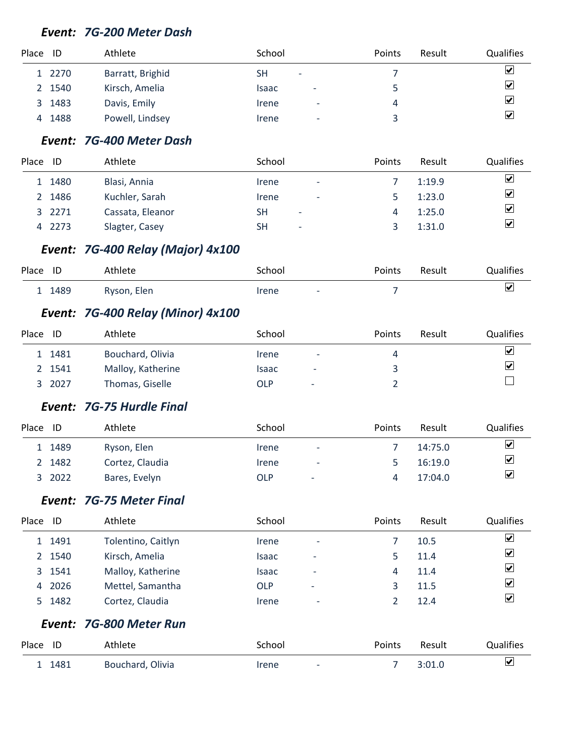#### *Event: 7G-200 Meter Dash*

| Place ID |        | Athlete          | School                                   | Points | Result | <b>Qualifies</b>             |
|----------|--------|------------------|------------------------------------------|--------|--------|------------------------------|
|          | 1 2270 | Barratt, Brighid | <b>SH</b><br>٠                           |        |        | $\boxed{\blacktriangledown}$ |
| 2        | 1540   | Kirsch, Amelia   | <b>Isaac</b><br>$\overline{\phantom{0}}$ |        |        | $\blacktriangledown$         |
| 3        | 1483   | Davis, Emily     | Irene<br>$\overline{a}$                  | 4      |        | $\overline{\mathbf{v}}$      |
| 4        | 1488   | Powell, Lindsey  | Irene<br>$\overline{\phantom{a}}$        |        |        | $\overline{\mathbf{v}}$      |
|          |        |                  |                                          |        |        |                              |

### *Event: 7G-400 Meter Dash*

| Place | ID     | Athlete          | School                                | <b>Points</b> | Result | <b>Qualifies</b> |
|-------|--------|------------------|---------------------------------------|---------------|--------|------------------|
|       | 1 1480 | Blasi, Annia     | <i><u><b>Irene</b></u></i><br>-       |               | 1:19.9 | ☑                |
|       | 2 1486 | Kuchler, Sarah   | Irene<br>٠                            |               | 1:23.0 | ⊻                |
|       | 3 2271 | Cassata, Eleanor | SΗ<br>$\overline{\phantom{a}}$        | 4             | 1:25.0 | ⊻                |
|       | 4 2273 | Slagter, Casey   | <b>SH</b><br>$\overline{\phantom{a}}$ |               | 1:31.0 | ⊻                |

## *Event: 7G-400 Relay (Major) 4x100*

| Place ID |        | Athlete     | School |                          | Points | Result | <b>Qualifies</b> |
|----------|--------|-------------|--------|--------------------------|--------|--------|------------------|
|          | 1 1489 | Ryson, Elen | Irene  | $\overline{\phantom{0}}$ |        |        | ₩                |

## *Event: 7G-400 Relay (Minor) 4x100*

| Place | ID     | Athlete           | School                     |                          | <b>Points</b> | Result | <b>Qualifies</b> |
|-------|--------|-------------------|----------------------------|--------------------------|---------------|--------|------------------|
|       | 1481   | Bouchard, Olivia  | <i><u><b>Irene</b></u></i> | $\overline{\phantom{a}}$ |               |        | $\mathbf{v}$     |
|       | 2 1541 | Malloy, Katherine | Isaac                      | -                        |               |        | ☑                |
|       | 2027   | Thomas, Giselle   | OLP                        | $\overline{\phantom{a}}$ |               |        |                  |

#### *Event: 7G-75 Hurdle Final*

| Place | ID     | Athlete         | School                     |                          | <b>Points</b> | Result  | <b>Qualifies</b>     |
|-------|--------|-----------------|----------------------------|--------------------------|---------------|---------|----------------------|
|       | 1489   | Ryson, Elen     | <i><u><b>Irene</b></u></i> | $\overline{\phantom{a}}$ |               | 14:75.0 | $\blacktriangledown$ |
|       | 2 1482 | Cortez, Claudia | Irene                      | $\overline{\phantom{a}}$ |               | 16:19.0 | $\blacktriangledown$ |
|       | 2022   | Bares, Evelyn   | OLP                        | $\overline{\phantom{a}}$ |               | 17:04.0 | ☑                    |

#### *Event: 7G-75 Meter Final*

| Place | ID     | Athlete            | School       |                          | Points | Result | <b>Qualifies</b>        |
|-------|--------|--------------------|--------------|--------------------------|--------|--------|-------------------------|
|       | 1 1491 | Tolentino, Caitlyn | Irene        | $\overline{\phantom{a}}$ |        | 10.5   | $\vert\mathbf{v}\vert$  |
|       | 2 1540 | Kirsch, Amelia     | <b>Isaac</b> | $\overline{\phantom{a}}$ |        | 11.4   | $\overline{\mathbf{v}}$ |
|       | 3 1541 | Malloy, Katherine  | <b>Isaac</b> | $\overline{\phantom{0}}$ |        | 11.4   | $\overline{\mathbf{v}}$ |
|       | 4 2026 | Mettel, Samantha   | OLP          | $\overline{\phantom{a}}$ |        | 11.5   | $\overline{\mathbf{v}}$ |
|       | 5 1482 | Cortez, Claudia    | Irene        | $\overline{\phantom{a}}$ |        | 12.4   | $\overline{\mathbf{v}}$ |

#### *Event: 7G-800 Meter Run*

| Place ID | Athlete          | School                            | <b>Points</b> | Result | Qualifies |
|----------|------------------|-----------------------------------|---------------|--------|-----------|
| 1481     | Bouchard, Olivia | Irene<br>$\overline{\phantom{a}}$ |               | 3:01.0 | ☑         |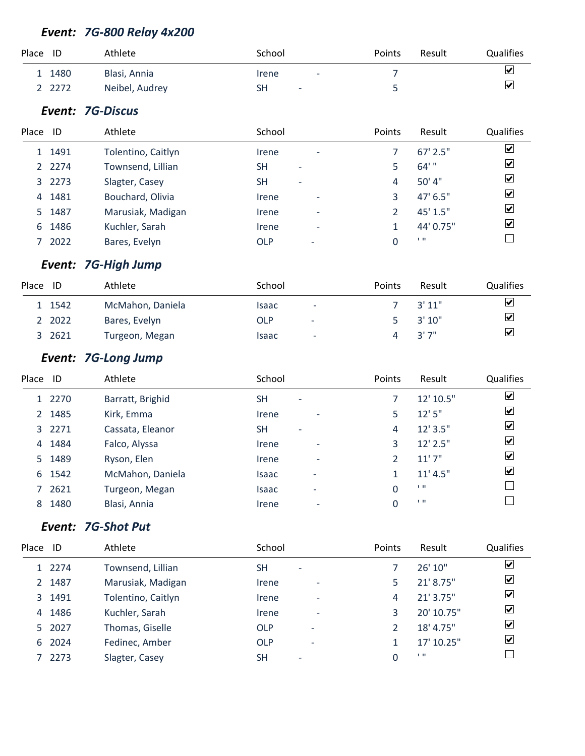# *Event: 7G-800 Relay 4x200*

| Place ID |        | Athlete        | School                                                 | Points | Result | <b>Qualifies</b> |
|----------|--------|----------------|--------------------------------------------------------|--------|--------|------------------|
|          | 1 1480 | Blasi, Annia   | <i><u><b>Irene</b></u></i><br>$\overline{\phantom{a}}$ |        |        | ⊻                |
|          | 2 2272 | Neibel, Audrey | SН<br>$\overline{\phantom{0}}$                         |        |        | ☑                |

### *Event: 7G-Discus*

| Place | ID     | Athlete            | School                                | Points | Result     | <b>Qualifies</b>        |
|-------|--------|--------------------|---------------------------------------|--------|------------|-------------------------|
|       | 1 1491 | Tolentino, Caitlyn | Irene<br>٠                            |        | $67'$ 2.5" | $\overline{\mathbf{v}}$ |
|       | 2 2274 | Townsend, Lillian  | <b>SH</b><br>$\overline{\phantom{0}}$ |        | $64'$ "    | $\overline{\mathbf{v}}$ |
|       | 3 2273 | Slagter, Casey     | <b>SH</b><br>-                        | 4      | 50' 4"     | $\overline{\mathbf{v}}$ |
|       | 4 1481 | Bouchard, Olivia   | Irene<br>$\overline{a}$               |        | 47' 6.5"   | $\blacktriangledown$    |
|       | 5 1487 | Marusiak, Madigan  | Irene<br>$\overline{\phantom{0}}$     |        | $45'$ 1.5" | $\overline{\mathbf{v}}$ |
|       | 6 1486 | Kuchler, Sarah     | Irene<br>$\overline{\phantom{0}}$     |        | 44' 0.75"  | $\overline{\mathbf{v}}$ |
|       | 7 2022 | Bares, Evelyn      | <b>OLP</b>                            |        | 1.11       |                         |

# *Event: 7G-High Jump*

| Place | ID     | Athlete          | School       |                          | <b>Points</b> | Result | <b>Qualifies</b>             |
|-------|--------|------------------|--------------|--------------------------|---------------|--------|------------------------------|
|       | 1 1542 | McMahon, Daniela | <b>Isaac</b> | ٠                        |               | 3'11"  | $\boxed{\blacktriangledown}$ |
|       | 2 2022 | Bares, Evelyn    | OLP          | $\overline{\phantom{a}}$ |               | 3'10'' | $\overline{\mathbf{v}}$      |
|       | 3 2621 | Turgeon, Megan   | <b>Isaac</b> | $\overline{\phantom{a}}$ |               | "7 ''3 | $\overline{\mathbf{v}}$      |

# *Event: 7G-Long Jump*

| Place       | ID     | Athlete          | School       |                          | Points | Result         | Qualifies               |
|-------------|--------|------------------|--------------|--------------------------|--------|----------------|-------------------------|
|             | 1 2270 | Barratt, Brighid | <b>SH</b>    | $\overline{\phantom{a}}$ |        | 12' 10.5"      | $\overline{\mathbf{v}}$ |
| $2^{\circ}$ | 1485   | Kirk, Emma       | Irene        | $\overline{\phantom{a}}$ | 5.     | 12'5''         | $\blacktriangledown$    |
|             | 3 2271 | Cassata, Eleanor | <b>SH</b>    | $\overline{\phantom{a}}$ | 4      | $12'$ 3.5"     | $\blacktriangleright$   |
| 4           | 1484   | Falco, Alyssa    | Irene        | $\overline{\phantom{a}}$ | 3      | $12'$ 2.5"     | $\overline{\mathbf{v}}$ |
|             | 5 1489 | Ryson, Elen      | Irene        | $\overline{\phantom{a}}$ |        | 11'7''         | $\overline{\mathbf{v}}$ |
| 6           | 1542   | McMahon, Daniela | Isaac        | -                        |        | 11' 4.5''      | $\overline{\mathbf{v}}$ |
|             | 2621   | Turgeon, Megan   | <b>Isaac</b> | -                        | 0      | $\blacksquare$ |                         |
| 8           | 1480   | Blasi, Annia     | Irene        | $\overline{\phantom{a}}$ | 0      | $\blacksquare$ |                         |

# *Event: 7G-Shot Put*

| Place       | ID     | Athlete            | School                                 | Points | Result     | Qualifies               |
|-------------|--------|--------------------|----------------------------------------|--------|------------|-------------------------|
|             | 1 2274 | Townsend, Lillian  | <b>SH</b><br>$\overline{\phantom{a}}$  |        | 26'10''    | ⊻                       |
| $2^{\circ}$ | 1487   | Marusiak, Madigan  | Irene<br>$\overline{\phantom{a}}$      | 5      | 21' 8.75"  | $\blacktriangledown$    |
|             | 3 1491 | Tolentino, Caitlyn | Irene<br>$\overline{\phantom{a}}$      | 4      | 21' 3.75"  | $\overline{\mathbf{v}}$ |
| 4           | 1486   | Kuchler, Sarah     | Irene<br>$\overline{\phantom{a}}$      | 3      | 20' 10.75" | ⊻                       |
|             | 5 2027 | Thomas, Giselle    | <b>OLP</b><br>$\overline{\phantom{a}}$ |        | 18' 4.75"  | ⊻                       |
|             | 6 2024 | Fedinec, Amber     | <b>OLP</b><br>$\overline{\phantom{a}}$ |        | 17' 10.25" | ⊻                       |
|             | 2273   | Slagter, Casey     | <b>SH</b><br>$\overline{\phantom{a}}$  | 0      | 1.11       |                         |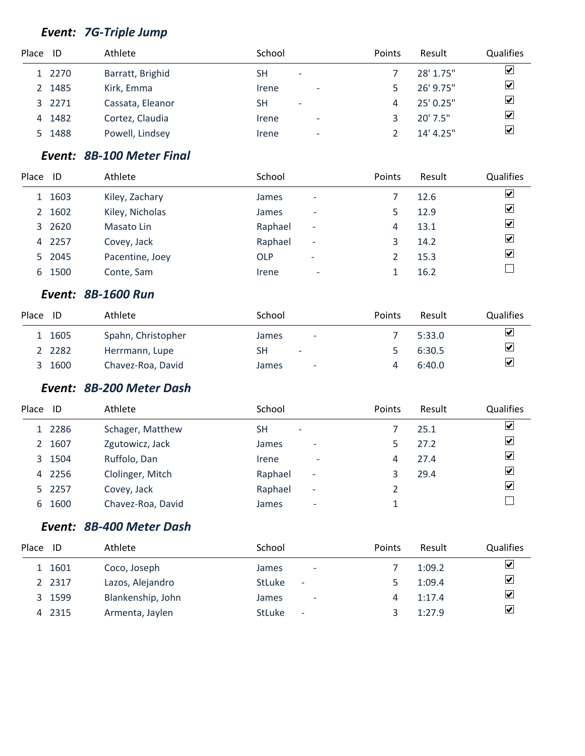# *Event: 7G-Triple Jump*

| Place ID |        | Athlete          | School                                                 | Points | Result     | <b>Qualifies</b>        |
|----------|--------|------------------|--------------------------------------------------------|--------|------------|-------------------------|
|          | 1 2270 | Barratt, Brighid | SН<br>$\overline{\phantom{a}}$                         |        | 28' 1.75"  | ☑                       |
|          | 2 1485 | Kirk, Emma       | Irene<br>$\overline{\phantom{a}}$                      |        | 26' 9.75"  | $\overline{\mathbf{v}}$ |
|          | 3 2271 | Cassata, Eleanor | SΗ<br>$\overline{\phantom{a}}$                         | 4      | 25' 0.25"  | $\overline{\mathbf{v}}$ |
| 4        | 1482   | Cortez, Claudia  | Irene<br>$\overline{\phantom{a}}$                      |        | $20'$ 7.5" | $\overline{\mathbf{v}}$ |
|          | 5 1488 | Powell, Lindsey  | <i><u><b>Irene</b></u></i><br>$\overline{\phantom{a}}$ |        | 14' 4.25'' | $\blacktriangledown$    |

# *Event: 8B-100 Meter Final*

| Place ID |        | Athlete         | School       |                          | Points | Result | Qualifies               |
|----------|--------|-----------------|--------------|--------------------------|--------|--------|-------------------------|
|          | 1 1603 | Kiley, Zachary  | <b>James</b> | $\overline{\phantom{a}}$ |        | 12.6   | ⊻                       |
| 2        | 1602   | Kiley, Nicholas | James        | $\overline{\phantom{a}}$ |        | 12.9   | ⊻                       |
|          | 3 2620 | Masato Lin      | Raphael      | $\overline{\phantom{a}}$ | 4      | 13.1   | ⊻                       |
|          | 4 2257 | Covey, Jack     | Raphael      | $\overline{\phantom{a}}$ | 3      | 14.2   | $\overline{\mathbf{v}}$ |
|          | 5 2045 | Pacentine, Joey | <b>OLP</b>   | ٠                        |        | 15.3   | ⊻                       |
| 6        | 1500   | Conte, Sam      | Irene        | $\overline{\phantom{0}}$ |        | 16.2   |                         |

#### *Event: 8B-1600 Run*

| Place | ID        | Athlete            | School                            | <b>Points</b> | Result | Qualifies                    |
|-------|-----------|--------------------|-----------------------------------|---------------|--------|------------------------------|
|       | 1 1605    | Spahn, Christopher | James<br>$\overline{\phantom{a}}$ |               | 5:33.0 | $\boxed{\blacktriangledown}$ |
|       | 2 2 2 8 2 | Herrmann, Lupe     | SН<br>$\overline{\phantom{a}}$    |               | 6:30.5 | $\overline{\mathbf{v}}$      |
| - 3   | 1600      | Chavez-Roa, David  | James<br>$\overline{\phantom{a}}$ |               | 6:40.0 | $\overline{\mathbf{v}}$      |

## *Event: 8B-200 Meter Dash*

| Place | ID     | Athlete           | School                              | Points | Result | Qualifies               |
|-------|--------|-------------------|-------------------------------------|--------|--------|-------------------------|
|       | 1 2286 | Schager, Matthew  | SΗ<br>$\overline{\phantom{a}}$      |        | 25.1   | $\blacktriangledown$    |
|       | 2 1607 | Zgutowicz, Jack   | James<br>$\overline{\phantom{a}}$   |        | 27.2   | $\overline{\mathbf{v}}$ |
|       | 3 1504 | Ruffolo, Dan      | Irene<br>$\overline{\phantom{a}}$   | 4      | 27.4   | $\overline{\mathbf{v}}$ |
|       | 4 2256 | Clolinger, Mitch  | Raphael<br>٠                        |        | 29.4   | $\overline{\mathbf{v}}$ |
|       | 5 2257 | Covey, Jack       | Raphael<br>$\overline{\phantom{a}}$ |        |        | $\overline{\mathbf{v}}$ |
|       | 6 1600 | Chavez-Roa, David | James<br>$\overline{\phantom{a}}$   |        |        |                         |

## *Event: 8B-400 Meter Dash*

| Place ID |        | Athlete           | School                                    | Points | Result | <b>Qualifies</b>        |
|----------|--------|-------------------|-------------------------------------------|--------|--------|-------------------------|
|          | 1 1601 | Coco, Joseph      | <b>James</b><br>$\overline{\phantom{a}}$  |        | 1:09.2 | ⊻                       |
|          | 2 2317 | Lazos, Alejandro  | <b>StLuke</b><br>$\overline{\phantom{a}}$ |        | 1:09.4 | ⊻                       |
| 3        | 1599   | Blankenship, John | <b>James</b><br>$\overline{\phantom{a}}$  | 4      | 1:17.4 | ⊻                       |
| 4        | 2315   | Armenta, Jaylen   | <b>StLuke</b><br>$\overline{\phantom{0}}$ |        | 1:27.9 | $\overline{\mathbf{v}}$ |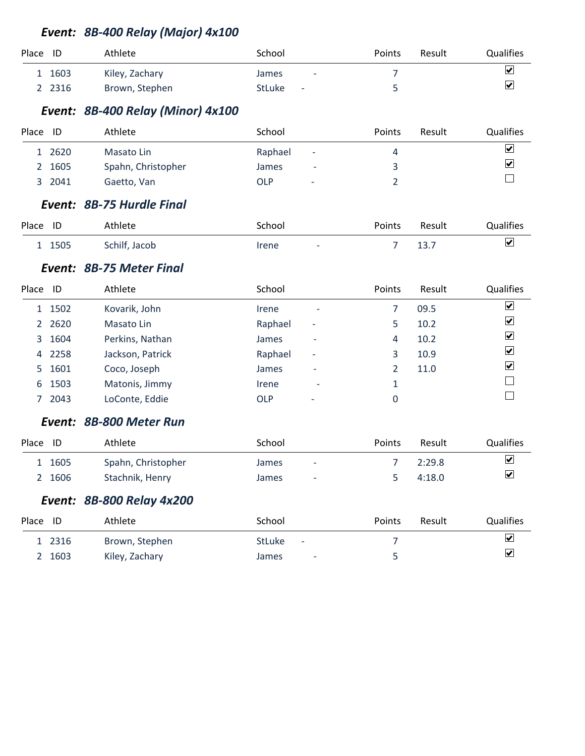# *Event: 8B-400 Relay (Major) 4x100*

| Place ID |      | Athlete        | School                                    | Points | Result | <b>Qualifies</b>        |
|----------|------|----------------|-------------------------------------------|--------|--------|-------------------------|
|          | 1603 | Kiley, Zachary | <b>James</b><br>$\overline{\phantom{a}}$  |        |        | ⊻                       |
|          | 2316 | Brown, Stephen | <b>StLuke</b><br>$\overline{\phantom{a}}$ |        |        | $\overline{\mathbf{v}}$ |

# *Event: 8B-400 Relay (Minor) 4x100*

| Place | ID     | Athlete            | School                          | Points                   | Result | <b>Qualifies</b>        |
|-------|--------|--------------------|---------------------------------|--------------------------|--------|-------------------------|
|       | 1 2620 | Masato Lin         | Raphael                         | $\overline{\phantom{a}}$ |        | $\overline{\mathbf{v}}$ |
|       | 2 1605 | Spahn, Christopher | James                           | $\overline{\phantom{0}}$ |        | ⊻                       |
|       | 3 2041 | Gaetto, Van        | OLP<br>$\overline{\phantom{a}}$ |                          |        |                         |

#### *Event: 8B-75 Hurdle Final*

| Place ID |        | Athlete       | School                            | Points | Result | Qualifies |
|----------|--------|---------------|-----------------------------------|--------|--------|-----------|
|          | 1 1505 | Schilf, Jacob | Irene<br>$\overline{\phantom{0}}$ |        | ⊥.     |           |

#### *Event: 8B-75 Meter Final*

| Place ID |           | Athlete          | School                                 | Points | Result | Qualifies                    |
|----------|-----------|------------------|----------------------------------------|--------|--------|------------------------------|
|          | 1 1502    | Kovarik, John    | Irene<br>$\overline{\phantom{a}}$      |        | 09.5   | $\vert\mathbf{v}\vert$       |
|          | 2 2 6 2 0 | Masato Lin       | Raphael<br>$\overline{\phantom{a}}$    | 5      | 10.2   | $\overline{\mathbf{v}}$      |
| 3        | 1604      | Perkins, Nathan  | James<br>-                             | 4      | 10.2   | $\boxed{\blacktriangledown}$ |
| 4        | 2258      | Jackson, Patrick | Raphael<br>$\overline{\phantom{a}}$    |        | 10.9   | $\overline{\mathbf{v}}$      |
| 5        | 1601      | Coco, Joseph     | James<br>-                             |        | 11.0   | $\overline{\mathbf{v}}$      |
| 6        | 1503      | Matonis, Jimmy   | Irene<br>$\overline{\phantom{a}}$      |        |        |                              |
|          | 2043      | LoConte, Eddie   | <b>OLP</b><br>$\overline{\phantom{a}}$ |        |        |                              |

#### *Event: 8B-800 Meter Run*

| Place | ID     | Athlete            | School       |                          | <b>Points</b> | Result | Qualifies            |
|-------|--------|--------------------|--------------|--------------------------|---------------|--------|----------------------|
|       | 1 1605 | Spahn, Christopher | <b>James</b> | $\overline{\phantom{0}}$ |               | 2:29.8 | $\blacktriangledown$ |
|       | 2 1606 | Stachnik, Henry    | <b>James</b> | -                        |               | 4:18.0 | ☑                    |

# *Event: 8B-800 Relay 4x200*

| Place<br>-ID | Athlete        | School                                    | Points | Result | <b>Qualifies</b>        |
|--------------|----------------|-------------------------------------------|--------|--------|-------------------------|
| 2316         | Brown, Stephen | <b>StLuke</b><br>$\overline{\phantom{a}}$ |        |        | $\overline{\mathbf{v}}$ |
| 1603         | Kiley, Zachary | James<br>$\overline{\phantom{a}}$         |        |        | $\overline{\mathbf{v}}$ |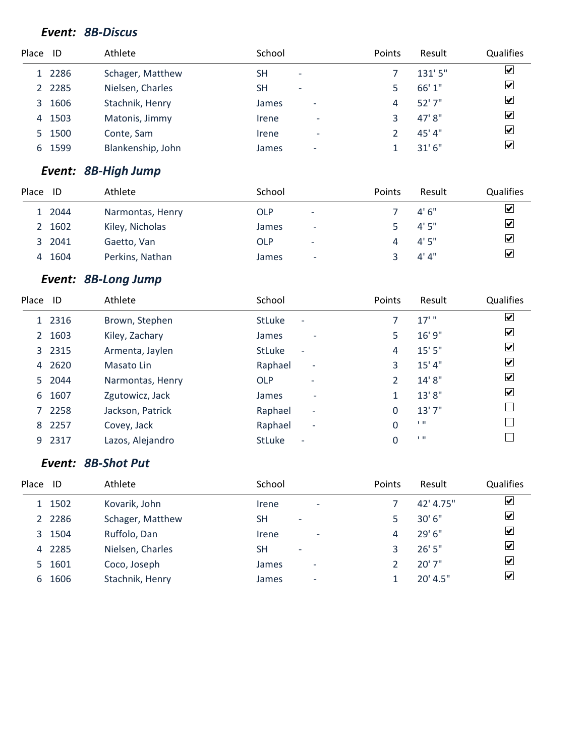## *Event: 8B-Discus*

| Place ID |           | Athlete           | School                                | Points | Result  | <b>Qualifies</b>        |
|----------|-----------|-------------------|---------------------------------------|--------|---------|-------------------------|
|          | 1 2286    | Schager, Matthew  | SΗ<br>$\overline{\phantom{a}}$        |        | 131'5'' | ☑                       |
|          | 2 2 2 8 5 | Nielsen, Charles  | <b>SH</b><br>$\overline{\phantom{a}}$ |        | 66' 1"  | $\overline{\mathbf{v}}$ |
| 3        | 1606      | Stachnik, Henry   | James<br>$\overline{\phantom{0}}$     | 4      | 52'7''  | $\blacktriangledown$    |
| 4        | 1503      | Matonis, Jimmy    | Irene<br>$\overline{\phantom{a}}$     |        | 47' 8"  | $\overline{\mathbf{v}}$ |
|          | 5 1500    | Conte, Sam        | Irene<br>$\overline{\phantom{a}}$     |        | 45'4"   | $\overline{\mathbf{v}}$ |
| 6        | 1599      | Blankenship, John | James<br>$\overline{\phantom{0}}$     |        | 31'6''  | ⊻                       |
|          |           |                   |                                       |        |         |                         |

# *Event: 8B-High Jump*

| Place | ID     | Athlete          | School     |                          | <b>Points</b> | Result | <b>Qualifies</b> |
|-------|--------|------------------|------------|--------------------------|---------------|--------|------------------|
|       | 1 2044 | Narmontas, Henry | <b>OLP</b> | $\overline{\phantom{a}}$ |               | 4'6''  | ⊻                |
|       | 2 1602 | Kiley, Nicholas  | James      | $\overline{\phantom{0}}$ |               | 4'5''  | ⊻                |
|       | 3 2041 | Gaetto, Van      | <b>OLP</b> | $\overline{\phantom{a}}$ |               | 4'5''  | ⊻                |
| 4     | 1604   | Perkins, Nathan  | James      | $\overline{\phantom{0}}$ |               | 4' 4'' | ⊻                |

# *Event: 8B-Long Jump*

| Place ID              |        | Athlete          | School                                    | Points | Result  | <b>Qualifies</b>     |
|-----------------------|--------|------------------|-------------------------------------------|--------|---------|----------------------|
|                       | 1 2316 | Brown, Stephen   | <b>StLuke</b><br>$\overline{\phantom{a}}$ | 7      | $17'$ " | $\blacktriangledown$ |
| $\mathbf{2}^{\prime}$ | 1603   | Kiley, Zachary   | James                                     | 5      | 16' 9"  | ⊻                    |
|                       | 3 2315 | Armenta, Jaylen  | <b>StLuke</b><br>$\overline{\phantom{a}}$ | 4      | 15'5''  | ☑                    |
| 4                     | 2620   | Masato Lin       | Raphael<br>$\overline{\phantom{a}}$       | 3      | 15' 4'' | ☑                    |
|                       | 5 2044 | Narmontas, Henry | <b>OLP</b><br>$\overline{\phantom{0}}$    | 2      | 14' 8"  | ⊻                    |
| 6                     | 1607   | Zgutowicz, Jack  | James<br>٠                                | 1      | 13'8"   | ⊻                    |
|                       | 7 2258 | Jackson, Patrick | Raphael<br>$\overline{\phantom{a}}$       | 0      | 13'7''  |                      |
| 8                     | 2257   | Covey, Jack      | Raphael<br>$\overline{\phantom{a}}$       | 0      | 1.11    |                      |
| 9                     | 2317   | Lazos, Alejandro | <b>StLuke</b><br>$\overline{\phantom{a}}$ | 0      | 1.11    |                      |
|                       |        |                  |                                           |        |         |                      |

# *Event: 8B-Shot Put*

| Place | ID        | Athlete          | School                            | <b>Points</b> | Result     | Qualifies               |
|-------|-----------|------------------|-----------------------------------|---------------|------------|-------------------------|
|       | 1 1502    | Kovarik, John    | Irene<br>$\overline{\phantom{a}}$ |               | 42' 4.75"  | ☑                       |
|       | 2 2 2 8 6 | Schager, Matthew | SН<br>$\overline{\phantom{a}}$    |               | 30'6''     | $\overline{\mathbf{v}}$ |
|       | 3 1504    | Ruffolo, Dan     | Irene<br>$\overline{\phantom{a}}$ | 4             | 29'6''     | $\overline{\mathbf{v}}$ |
|       | 4 2285    | Nielsen, Charles | SН                                | 3             | 26'5''     | $\overline{\mathbf{v}}$ |
|       | 5 1601    | Coco, Joseph     | James<br>$\overline{\phantom{0}}$ |               | 20'7''     | $\overline{\mathbf{v}}$ |
|       | 6 1606    | Stachnik, Henry  | James<br>$\overline{\phantom{0}}$ |               | $20'$ 4.5" | $\overline{\mathbf{v}}$ |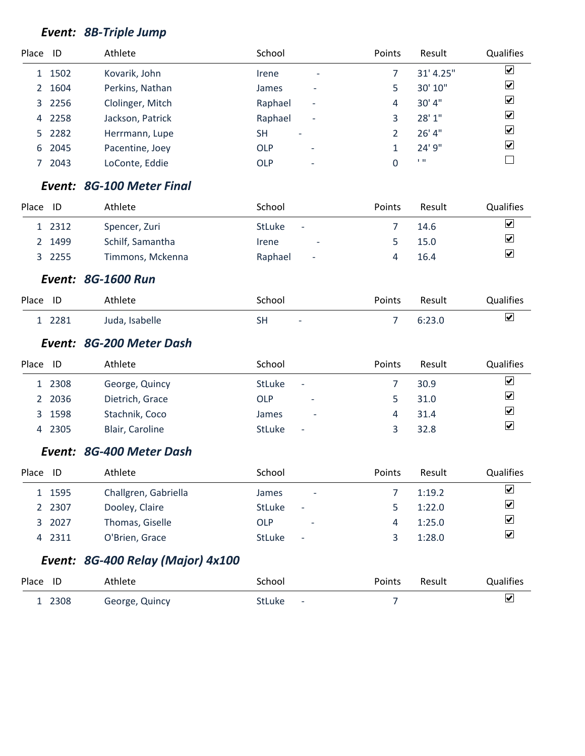# *Event: 8B-Triple Jump*

| Place ID    |        | Athlete          | School                                   | Points | Result    | Qualifies               |
|-------------|--------|------------------|------------------------------------------|--------|-----------|-------------------------|
|             | 1 1502 | Kovarik, John    | Irene<br>$\overline{\phantom{a}}$        |        | 31' 4.25" | $\overline{\mathbf{v}}$ |
| $2^{\circ}$ | 1604   | Perkins, Nathan  | <b>James</b><br>$\overline{\phantom{0}}$ | 5      | 30' 10"   | $\overline{\mathbf{v}}$ |
|             | 3 2256 | Clolinger, Mitch | Raphael<br>$\overline{\phantom{a}}$      | 4      | 30' 4''   | $\overline{\mathbf{v}}$ |
| 4           | 2258   | Jackson, Patrick | Raphael<br>$\overline{\phantom{a}}$      |        | 28' 1"    | $\overline{\mathbf{v}}$ |
|             | 5 2282 | Herrmann, Lupe   | <b>SH</b><br>$\overline{\phantom{a}}$    |        | 26' 4"    | $\overline{\mathbf{v}}$ |
| 6           | 2045   | Pacentine, Joey  | OLP<br>$\overline{\phantom{a}}$          |        | 24' 9"    | $\overline{\mathbf{v}}$ |
|             | 2043   | LoConte, Eddie   | <b>OLP</b><br>$\overline{\phantom{a}}$   |        | 1.11      |                         |

#### *Event: 8G-100 Meter Final*

| Place | ID     | Athlete          | School                                    | <b>Points</b> | Result | <b>Qualifies</b>        |
|-------|--------|------------------|-------------------------------------------|---------------|--------|-------------------------|
|       | 1 2312 | Spencer, Zuri    | <b>StLuke</b><br>$\overline{\phantom{a}}$ |               | 14.6   | ☑                       |
|       | 2 1499 | Schilf, Samantha | Irene<br>$\overline{\phantom{a}}$         |               | 15.0   | $\overline{\mathbf{v}}$ |
|       | 3 2255 | Timmons, Mckenna | Raphael<br>$\overline{\phantom{a}}$       |               | 16.4   | $\overline{\mathbf{v}}$ |

*Event: 8G-1600 Run*

| Place ID |        | Athlete        | School       | Points | Result | <b>Qualifies</b>        |
|----------|--------|----------------|--------------|--------|--------|-------------------------|
|          | 1 2281 | Juda, Isabelle | SH<br>$\sim$ |        | 6:23.0 | $\overline{\mathbf{v}}$ |

#### *Event: 8G-200 Meter Dash*

| Place | ID     | Athlete         | School                                    | Points | Result | <b>Qualifies</b>        |
|-------|--------|-----------------|-------------------------------------------|--------|--------|-------------------------|
|       | 1 2308 | George, Quincy  | <b>StLuke</b><br>$\overline{\phantom{a}}$ |        | 30.9   | ⊻                       |
|       | 2 2036 | Dietrich, Grace | <b>OLP</b><br>٠                           |        | 31.0   | $\overline{\mathbf{v}}$ |
|       | 3 1598 | Stachnik, Coco  | James<br>$\overline{\phantom{0}}$         |        | 31.4   | ⊻                       |
|       | 4 2305 | Blair, Caroline | <b>StLuke</b><br>$\overline{\phantom{a}}$ |        | 32.8   | $\blacktriangledown$    |

#### *Event: 8G-400 Meter Dash*

| Place | ID     | Athlete              | School                                    | <b>Points</b> | Result | <b>Qualifies</b>        |
|-------|--------|----------------------|-------------------------------------------|---------------|--------|-------------------------|
|       | 1 1595 | Challgren, Gabriella | James<br>-                                |               | 1:19.2 | ☑                       |
|       | 2 2307 | Dooley, Claire       | <b>StLuke</b><br>$\overline{\phantom{a}}$ |               | 1:22.0 | ☑                       |
|       | 3 2027 | Thomas, Giselle      | OLP<br>$\overline{\phantom{a}}$           | 4             | 1:25.0 | ⊻                       |
|       | 4 2311 | O'Brien, Grace       | <b>StLuke</b><br>$\overline{\phantom{a}}$ |               | 1:28.0 | $\overline{\mathbf{v}}$ |

# *Event: 8G-400 Relay (Major) 4x100*

| Place ID | Athlete        | School                                    | Points | Result | Qualifies |
|----------|----------------|-------------------------------------------|--------|--------|-----------|
| 2308     | George, Quincy | <b>StLuke</b><br>$\overline{\phantom{a}}$ |        |        |           |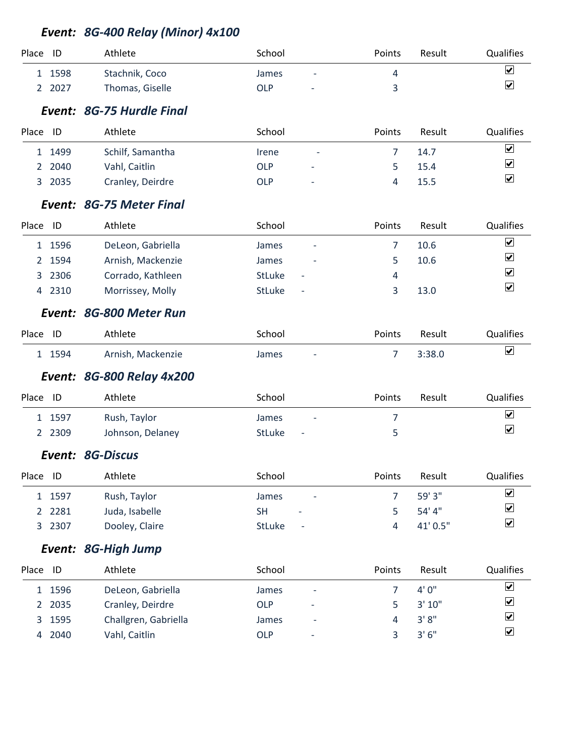|                |        | Event: 8G-400 Relay (Minor) 4x100 |               |                |          |                              |
|----------------|--------|-----------------------------------|---------------|----------------|----------|------------------------------|
| Place          | ID     | Athlete                           | School        | Points         | Result   | Qualifies                    |
|                | 1 1598 | Stachnik, Coco                    | James         | $\overline{4}$ |          | $\boxed{\blacktriangledown}$ |
| $\mathbf{2}$   | 2027   | Thomas, Giselle                   | <b>OLP</b>    | 3              |          | $\boxed{\blacktriangledown}$ |
|                |        | Event: 8G-75 Hurdle Final         |               |                |          |                              |
| Place          | ID     | Athlete                           | School        | Points         | Result   | Qualifies                    |
| 1              | 1499   | Schilf, Samantha                  | Irene         | $\overline{7}$ | 14.7     | $\blacktriangledown$         |
| 2              | 2040   | Vahl, Caitlin                     | <b>OLP</b>    | 5              | 15.4     | $\blacktriangledown$         |
| 3              | 2035   | Cranley, Deirdre                  | <b>OLP</b>    | 4              | 15.5     | $\blacktriangledown$         |
|                |        | Event: 8G-75 Meter Final          |               |                |          |                              |
| Place          | ID     | Athlete                           | School        | Points         | Result   | Qualifies                    |
|                | 1 1596 | DeLeon, Gabriella                 | James         | 7              | 10.6     | $\blacktriangledown$         |
| 2              | 1594   | Arnish, Mackenzie                 | James         | 5              | 10.6     | $\boxed{\blacktriangledown}$ |
| 3              | 2306   | Corrado, Kathleen                 | <b>StLuke</b> | 4              |          | $\blacktriangledown$         |
| $\overline{4}$ | 2310   | Morrissey, Molly                  | StLuke        | 3              | 13.0     | $\boxed{\blacktriangledown}$ |
|                |        | Event: 8G-800 Meter Run           |               |                |          |                              |
| Place          | ID     | Athlete                           | School        | Points         | Result   | Qualifies                    |
|                | 1 1594 | Arnish, Mackenzie                 | James         | $\overline{7}$ | 3:38.0   | $\boxed{\blacktriangledown}$ |
|                |        | <b>Event: 8G-800 Relay 4x200</b>  |               |                |          |                              |
| Place ID       |        | Athlete                           | School        | Points         | Result   | Qualifies                    |
| 1              | 1597   | Rush, Taylor                      | James         | $\overline{7}$ |          | $\blacktriangledown$         |
|                | 2 2309 | Johnson, Delaney                  | <b>StLuke</b> | 5              |          | $\blacktriangledown$         |
|                |        | Event: 8G-Discus                  |               |                |          |                              |
| Place ID       |        | Athlete                           | School        | Points         | Result   | Qualifies                    |
|                | 1 1597 | Rush, Taylor                      | James         | 7              | 59' 3"   | $\blacktriangledown$         |
| $\overline{2}$ | 2281   | Juda, Isabelle                    | <b>SH</b>     | 5              | 54' 4"   | $\blacktriangledown$         |
|                | 3 2307 | Dooley, Claire                    | StLuke        | $\overline{4}$ | 41' 0.5" | $\boxed{\blacktriangledown}$ |
|                |        | Event: 8G-High Jump               |               |                |          |                              |
| Place ID       |        | Athlete                           | School        | Points         | Result   | Qualifies                    |
| 1              | 1596   | DeLeon, Gabriella                 | James         | $\overline{7}$ | 4'0''    | $\blacktriangledown$         |
| $\overline{2}$ | 2035   | Cranley, Deirdre                  | <b>OLP</b>    | 5              | 3' 10"   | $\blacktriangledown$         |
| 3              | 1595   | Challgren, Gabriella              | James         | 4              | 3'8''    | $\blacktriangledown$         |
| 4              | 2040   | Vahl, Caitlin                     | OLP           | 3              | 3'6''    | $\blacktriangledown$         |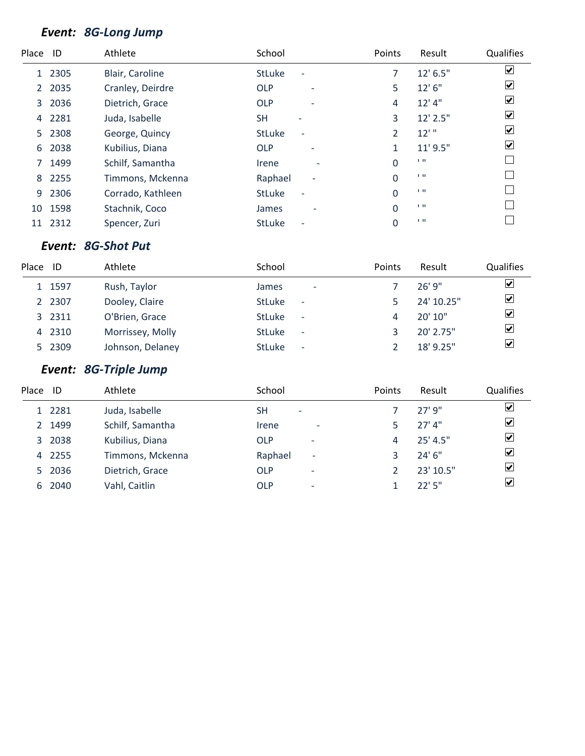#### *Event: 8G-Long Jump*

| Place        | ID   | Athlete           | School                                    | Points         | Result        | Qualifies                    |
|--------------|------|-------------------|-------------------------------------------|----------------|---------------|------------------------------|
| $\mathbf{1}$ | 2305 | Blair, Caroline   | <b>StLuke</b>                             | 7              | $12'$ 6.5"    | $\boxed{\blacktriangledown}$ |
| $\mathbf{2}$ | 2035 | Cranley, Deirdre  | <b>OLP</b><br>$\overline{\phantom{a}}$    | 5              | 12' 6''       | $\boxed{\blacktriangledown}$ |
| 3            | 2036 | Dietrich, Grace   | <b>OLP</b><br>$\overline{\phantom{a}}$    | 4              | $12'$ 4"      | $\overline{\mathbf{v}}$      |
| 4            | 2281 | Juda, Isabelle    | <b>SH</b>                                 | 3              | 12' 2.5"      | $\boxed{\checkmark}$         |
| 5            | 2308 | George, Quincy    | <b>StLuke</b><br>$\overline{\phantom{0}}$ | 2              | $12'$ "       | $\blacktriangledown$         |
| 6            | 2038 | Kubilius, Diana   | <b>OLP</b><br>$\overline{\phantom{a}}$    | 1              | $11'$ $9.5''$ | $\blacktriangledown$         |
| 7            | 1499 | Schilf, Samantha  | Irene<br>$\overline{\phantom{a}}$         | $\Omega$       | 1.11          |                              |
| 8            | 2255 | Timmons, Mckenna  | Raphael<br>$\overline{\phantom{a}}$       | $\Omega$       | 1.11          |                              |
| 9            | 2306 | Corrado, Kathleen | <b>StLuke</b>                             | $\Omega$       | 1.11          |                              |
| 10           | 1598 | Stachnik, Coco    | <b>James</b>                              | $\Omega$       | 1.11          |                              |
| 11           | 2312 | Spencer, Zuri     | <b>StLuke</b>                             | $\overline{0}$ | 1.11          |                              |
|              |      |                   |                                           |                |               |                              |

## *Event: 8G-Shot Put*

| Place | -ID    | Athlete          | School                                    | Points | Result      | Qualifies                    |
|-------|--------|------------------|-------------------------------------------|--------|-------------|------------------------------|
|       | 1 1597 | Rush, Taylor     | <b>James</b><br>$\overline{\phantom{0}}$  |        | 26'9''      | ☑                            |
|       | 2 2307 | Dooley, Claire   | <b>StLuke</b><br>$\overline{\phantom{a}}$ |        | 24' 10.25"  | $\overline{\mathbf{v}}$      |
|       | 3 2311 | O'Brien, Grace   | <b>StLuke</b><br>$\sim$                   |        | 20'10''     | $\boxed{\blacktriangledown}$ |
|       | 4 2310 | Morrissey, Molly | <b>StLuke</b><br>$\overline{\phantom{a}}$ |        | $20'$ 2.75" | $\overline{\mathbf{v}}$      |
|       | 5 2309 | Johnson, Delaney | <b>StLuke</b><br>$\overline{\phantom{a}}$ |        | $18'$ 9.25" | $\overline{\mathbf{v}}$      |

# *Event: 8G-Triple Jump*

| Place | ID     | Athlete          | School                              | <b>Points</b> | Result    | Qualifies               |
|-------|--------|------------------|-------------------------------------|---------------|-----------|-------------------------|
|       | 1 2281 | Juda, Isabelle   | SΗ<br>$\overline{\phantom{a}}$      |               | 27'9''    | ⊻                       |
|       | 2 1499 | Schilf, Samantha | Irene<br>$\overline{\phantom{a}}$   |               | $27'$ 4"  | $\overline{\mathbf{v}}$ |
|       | 3 2038 | Kubilius, Diana  | <b>OLP</b><br>٠                     | 4             | 25' 4.5'' | ☑                       |
|       | 4 2255 | Timmons, Mckenna | Raphael<br>$\overline{\phantom{a}}$ | 3             | 24'6''    | ☑                       |
|       | 5 2036 | Dietrich, Grace  | <b>OLP</b><br>٠                     |               | 23' 10.5" | $\overline{\mathbf{v}}$ |
|       | 6 2040 | Vahl, Caitlin    | <b>OLP</b><br>٠                     |               | 22'5''    | $\vert \checkmark\vert$ |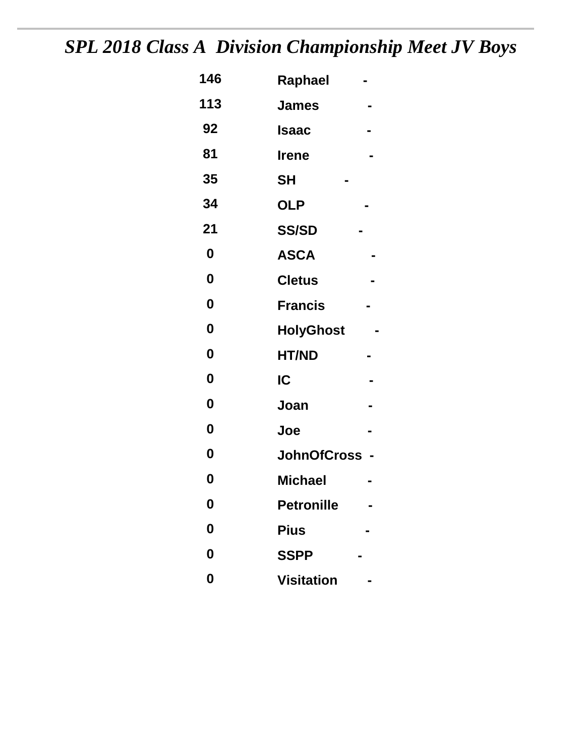# *SPL 2018 Class A Division Championship Meet JV Boys*

| 146              | Raphael                              |  |
|------------------|--------------------------------------|--|
| 113              | <b>James</b>                         |  |
| 92               | Isaac                                |  |
| 81               | <b>Irene</b>                         |  |
| 35               | <b>SH</b>                            |  |
| 34               | <b>OLP</b>                           |  |
| 21               | <b>SS/SD</b>                         |  |
| $\boldsymbol{0}$ | <b>ASCA</b>                          |  |
| 0                | <b>Cletus</b>                        |  |
| $\boldsymbol{0}$ | <b>Francis</b>                       |  |
| $\boldsymbol{0}$ | <b>HolyGhost</b>                     |  |
| $\boldsymbol{0}$ | <b>HT/ND</b>                         |  |
| $\boldsymbol{0}$ | IC                                   |  |
| 0                | Joan                                 |  |
| 0                | Joe                                  |  |
| $\boldsymbol{0}$ | <b>JohnOfCross</b><br>$\blacksquare$ |  |
| 0                | <b>Michael</b>                       |  |
| 0                | <b>Petronille</b>                    |  |
| 0                | <b>Pius</b>                          |  |
| 0                | <b>SSPP</b>                          |  |
| $\boldsymbol{0}$ | <b>Visitation</b>                    |  |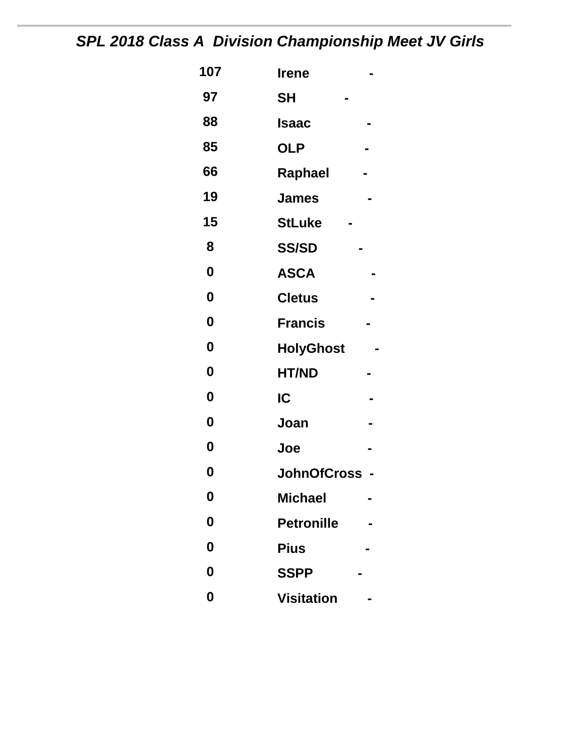# *SPL 2018 Class A Division Championship Meet JV Girls*

| 107              | <b>Irene</b>       |
|------------------|--------------------|
| 97               | <b>SH</b>          |
| 88               | <b>Isaac</b>       |
| 85               | <b>OLP</b>         |
| 66               | Raphael            |
| 19               | <b>James</b>       |
| 15               | <b>StLuke</b>      |
| 8                | <b>SS/SD</b>       |
| $\boldsymbol{0}$ | <b>ASCA</b>        |
| 0                | <b>Cletus</b>      |
| 0                | <b>Francis</b>     |
| $\boldsymbol{0}$ | <b>HolyGhost</b>   |
| $\boldsymbol{0}$ | <b>HT/ND</b>       |
| 0                | IC                 |
| $\boldsymbol{0}$ | Joan               |
| $\boldsymbol{0}$ | Joe                |
| 0                | <b>JohnOfCross</b> |
| 0                | <b>Michael</b>     |
| 0                | <b>Petronille</b>  |
| 0                | <b>Pius</b>        |
| 0                | <b>SSPP</b>        |
| 0                | <b>Visitation</b>  |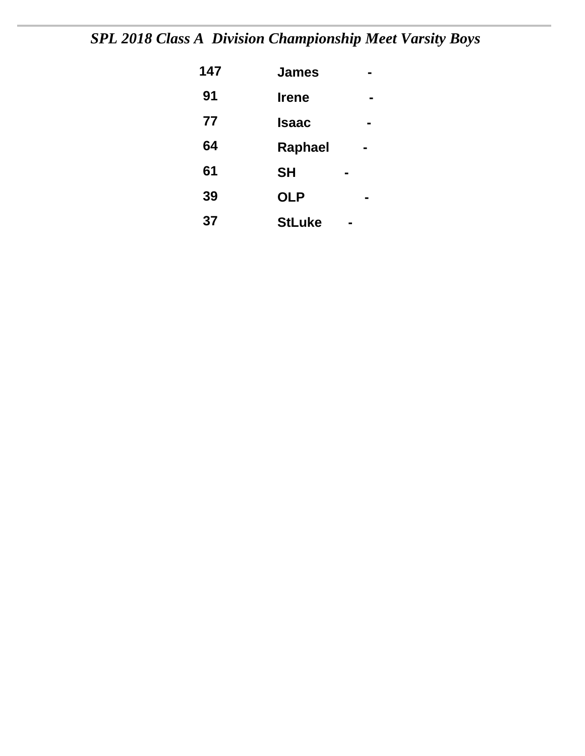# *SPL 2018 Class A Division Championship Meet Varsity Boys*

| 147 | <b>James</b>  |   |  |
|-----|---------------|---|--|
| 91  | <b>Irene</b>  |   |  |
| 77  | <b>Isaac</b>  |   |  |
| 64  | Raphael       | ∎ |  |
| 61  | <b>SH</b>     |   |  |
| 39  | <b>OLP</b>    |   |  |
| 37  | <b>StLuke</b> |   |  |